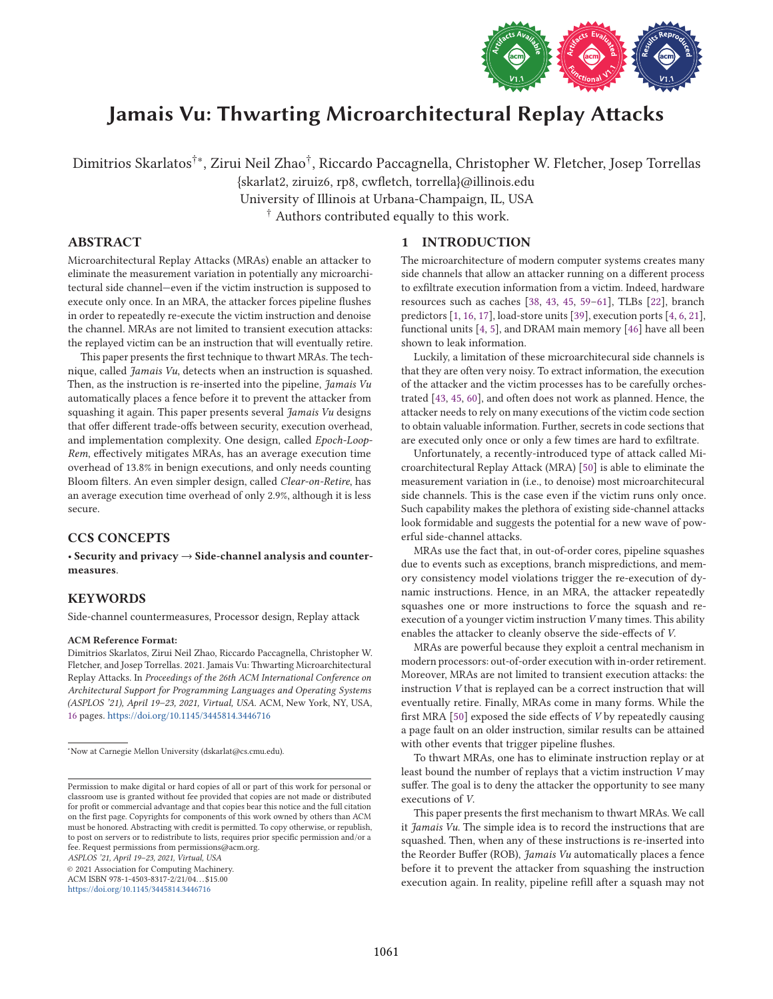

# Jamais Vu: Thwarting Microarchitectural Replay Attacks

Dimitrios Skarlatos†∗, Zirui Neil Zhao† , Riccardo Paccagnella, Christopher W. Fletcher, Josep Torrellas

{skarlat2, ziruiz6, rp8, cwfletch, torrella}@illinois.edu

University of Illinois at Urbana-Champaign, IL, USA

† Authors contributed equally to this work.

# ABSTRACT

Microarchitectural Replay Attacks (MRAs) enable an attacker to eliminate the measurement variation in potentially any microarchitectural side channel—even if the victim instruction is supposed to execute only once. In an MRA, the attacker forces pipeline flushes in order to repeatedly re-execute the victim instruction and denoise the channel. MRAs are not limited to transient execution attacks: the replayed victim can be an instruction that will eventually retire.

This paper presents the first technique to thwart MRAs. The technique, called Jamais Vu, detects when an instruction is squashed. Then, as the instruction is re-inserted into the pipeline, Jamais Vu automatically places a fence before it to prevent the attacker from squashing it again. This paper presents several *Jamais Vu* designs that offer different trade-offs between security, execution overhead, and implementation complexity. One design, called Epoch-Loop-Rem, effectively mitigates MRAs, has an average execution time overhead of 13.8% in benign executions, and only needs counting Bloom filters. An even simpler design, called Clear-on-Retire, has an average execution time overhead of only 2.9%, although it is less secure.

# CCS CONCEPTS

• Security and privacy → Side-channel analysis and countermeasures.

# KEYWORDS

Side-channel countermeasures, Processor design, Replay attack

#### ACM Reference Format:

Dimitrios Skarlatos, Zirui Neil Zhao, Riccardo Paccagnella, Christopher W. Fletcher, and Josep Torrellas. 2021. Jamais Vu: Thwarting Microarchitectural Replay Attacks. In Proceedings of the 26th ACM International Conference on Architectural Support for Programming Languages and Operating Systems (ASPLOS '21), April 19–23, 2021, Virtual, USA. ACM, New York, NY, USA, 16 pages. https://doi.org/10.1145/3445814.3446716

ASPLOS '21, April 19–23, 2021, Virtual, USA

© 2021 Association for Computing Machinery.

ACM ISBN 978-1-4503-8317-2/21/04. . . \$15.00 https://doi.org/10.1145/3445814.3446716

## 1 INTRODUCTION

The microarchitecture of modern computer systems creates many side channels that allow an attacker running on a different process to exfiltrate execution information from a victim. Indeed, hardware resources such as caches [38, 43, 45, 59–61], TLBs [22], branch predictors [1, 16, 17], load-store units [39], execution ports [4, 6, 21], functional units [4, 5], and DRAM main memory [46] have all been shown to leak information.

Luckily, a limitation of these microarchitecural side channels is that they are often very noisy. To extract information, the execution of the attacker and the victim processes has to be carefully orchestrated [43, 45, 60], and often does not work as planned. Hence, the attacker needs to rely on many executions of the victim code section to obtain valuable information. Further, secrets in code sections that are executed only once or only a few times are hard to exfiltrate.

Unfortunately, a recently-introduced type of attack called Microarchitectural Replay Attack (MRA) [50] is able to eliminate the measurement variation in (i.e., to denoise) most microarchitecural side channels. This is the case even if the victim runs only once. Such capability makes the plethora of existing side-channel attacks look formidable and suggests the potential for a new wave of powerful side-channel attacks.

MRAs use the fact that, in out-of-order cores, pipeline squashes due to events such as exceptions, branch mispredictions, and memory consistency model violations trigger the re-execution of dynamic instructions. Hence, in an MRA, the attacker repeatedly squashes one or more instructions to force the squash and reexecution of a younger victim instruction V many times. This ability enables the attacker to cleanly observe the side-effects of V.

MRAs are powerful because they exploit a central mechanism in modern processors: out-of-order execution with in-order retirement. Moreover, MRAs are not limited to transient execution attacks: the instruction V that is replayed can be a correct instruction that will eventually retire. Finally, MRAs come in many forms. While the first MRA [50] exposed the side effects of V by repeatedly causing a page fault on an older instruction, similar results can be attained with other events that trigger pipeline flushes.

To thwart MRAs, one has to eliminate instruction replay or at least bound the number of replays that a victim instruction V may suffer. The goal is to deny the attacker the opportunity to see many executions of V.

This paper presents the first mechanism to thwart MRAs. We call it Jamais Vu. The simple idea is to record the instructions that are squashed. Then, when any of these instructions is re-inserted into the Reorder Buffer (ROB), Jamais Vu automatically places a fence before it to prevent the attacker from squashing the instruction execution again. In reality, pipeline refill after a squash may not

<sup>∗</sup>Now at Carnegie Mellon University (dskarlat@cs.cmu.edu).

Permission to make digital or hard copies of all or part of this work for personal or classroom use is granted without fee provided that copies are not made or distributed for profit or commercial advantage and that copies bear this notice and the full citation on the first page. Copyrights for components of this work owned by others than ACM must be honored. Abstracting with credit is permitted. To copy otherwise, or republish, to post on servers or to redistribute to lists, requires prior specific permission and/or a fee. Request permissions from permissions@acm.org.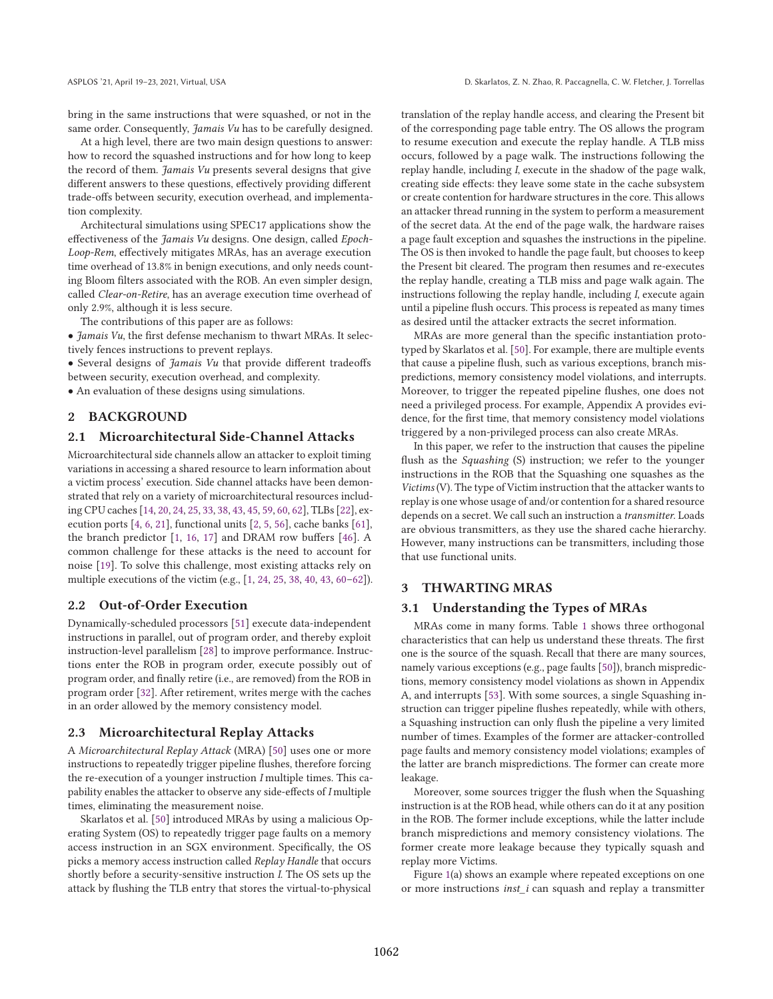bring in the same instructions that were squashed, or not in the same order. Consequently, Jamais Vu has to be carefully designed.

At a high level, there are two main design questions to answer: how to record the squashed instructions and for how long to keep the record of them. Jamais Vu presents several designs that give different answers to these questions, effectively providing different trade-offs between security, execution overhead, and implementation complexity.

Architectural simulations using SPEC17 applications show the effectiveness of the Jamais Vu designs. One design, called Epoch-Loop-Rem, effectively mitigates MRAs, has an average execution time overhead of 13.8% in benign executions, and only needs counting Bloom filters associated with the ROB. An even simpler design, called Clear-on-Retire, has an average execution time overhead of only 2.9%, although it is less secure.

The contributions of this paper are as follows:

• Jamais Vu, the first defense mechanism to thwart MRAs. It selectively fences instructions to prevent replays.

• Several designs of Jamais Vu that provide different tradeoffs between security, execution overhead, and complexity.

• An evaluation of these designs using simulations.

## 2 BACKGROUND

## 2.1 Microarchitectural Side-Channel Attacks

Microarchitectural side channels allow an attacker to exploit timing variations in accessing a shared resource to learn information about a victim process' execution. Side channel attacks have been demonstrated that rely on a variety of microarchitectural resources including CPU caches [14, 20, 24, 25, 33, 38, 43, 45, 59, 60, 62], TLBs [22], execution ports [4, 6, 21], functional units [2, 5, 56], cache banks [61], the branch predictor [1, 16, 17] and DRAM row buffers [46]. A common challenge for these attacks is the need to account for noise [19]. To solve this challenge, most existing attacks rely on multiple executions of the victim (e.g., [1, 24, 25, 38, 40, 43, 60–62]).

#### 2.2 Out-of-Order Execution

Dynamically-scheduled processors [51] execute data-independent instructions in parallel, out of program order, and thereby exploit instruction-level parallelism [28] to improve performance. Instructions enter the ROB in program order, execute possibly out of program order, and finally retire (i.e., are removed) from the ROB in program order [32]. After retirement, writes merge with the caches in an order allowed by the memory consistency model.

#### 2.3 Microarchitectural Replay Attacks

A Microarchitectural Replay Attack (MRA) [50] uses one or more instructions to repeatedly trigger pipeline flushes, therefore forcing the re-execution of a younger instruction I multiple times. This capability enables the attacker to observe any side-effects of I multiple times, eliminating the measurement noise.

Skarlatos et al. [50] introduced MRAs by using a malicious Operating System (OS) to repeatedly trigger page faults on a memory access instruction in an SGX environment. Specifically, the OS picks a memory access instruction called Replay Handle that occurs shortly before a security-sensitive instruction I. The OS sets up the attack by flushing the TLB entry that stores the virtual-to-physical

translation of the replay handle access, and clearing the Present bit of the corresponding page table entry. The OS allows the program to resume execution and execute the replay handle. A TLB miss occurs, followed by a page walk. The instructions following the replay handle, including I, execute in the shadow of the page walk, creating side effects: they leave some state in the cache subsystem or create contention for hardware structures in the core. This allows an attacker thread running in the system to perform a measurement of the secret data. At the end of the page walk, the hardware raises a page fault exception and squashes the instructions in the pipeline. The OS is then invoked to handle the page fault, but chooses to keep the Present bit cleared. The program then resumes and re-executes the replay handle, creating a TLB miss and page walk again. The instructions following the replay handle, including I, execute again until a pipeline flush occurs. This process is repeated as many times as desired until the attacker extracts the secret information.

MRAs are more general than the specific instantiation prototyped by Skarlatos et al. [50]. For example, there are multiple events that cause a pipeline flush, such as various exceptions, branch mispredictions, memory consistency model violations, and interrupts. Moreover, to trigger the repeated pipeline flushes, one does not need a privileged process. For example, Appendix A provides evidence, for the first time, that memory consistency model violations triggered by a non-privileged process can also create MRAs.

In this paper, we refer to the instruction that causes the pipeline flush as the *Squashing* (S) instruction; we refer to the younger instructions in the ROB that the Squashing one squashes as the Victims (V). The type of Victim instruction that the attacker wants to replay is one whose usage of and/or contention for a shared resource depends on a secret. We call such an instruction a transmitter. Loads are obvious transmitters, as they use the shared cache hierarchy. However, many instructions can be transmitters, including those that use functional units.

## 3 THWARTING MRAS

#### 3.1 Understanding the Types of MRAs

MRAs come in many forms. Table 1 shows three orthogonal characteristics that can help us understand these threats. The first one is the source of the squash. Recall that there are many sources, namely various exceptions (e.g., page faults [50]), branch mispredictions, memory consistency model violations as shown in Appendix A, and interrupts [53]. With some sources, a single Squashing instruction can trigger pipeline flushes repeatedly, while with others, a Squashing instruction can only flush the pipeline a very limited number of times. Examples of the former are attacker-controlled page faults and memory consistency model violations; examples of the latter are branch mispredictions. The former can create more leakage.

Moreover, some sources trigger the flush when the Squashing instruction is at the ROB head, while others can do it at any position in the ROB. The former include exceptions, while the latter include branch mispredictions and memory consistency violations. The former create more leakage because they typically squash and replay more Victims.

Figure 1(a) shows an example where repeated exceptions on one or more instructions *inst\_i* can squash and replay a transmitter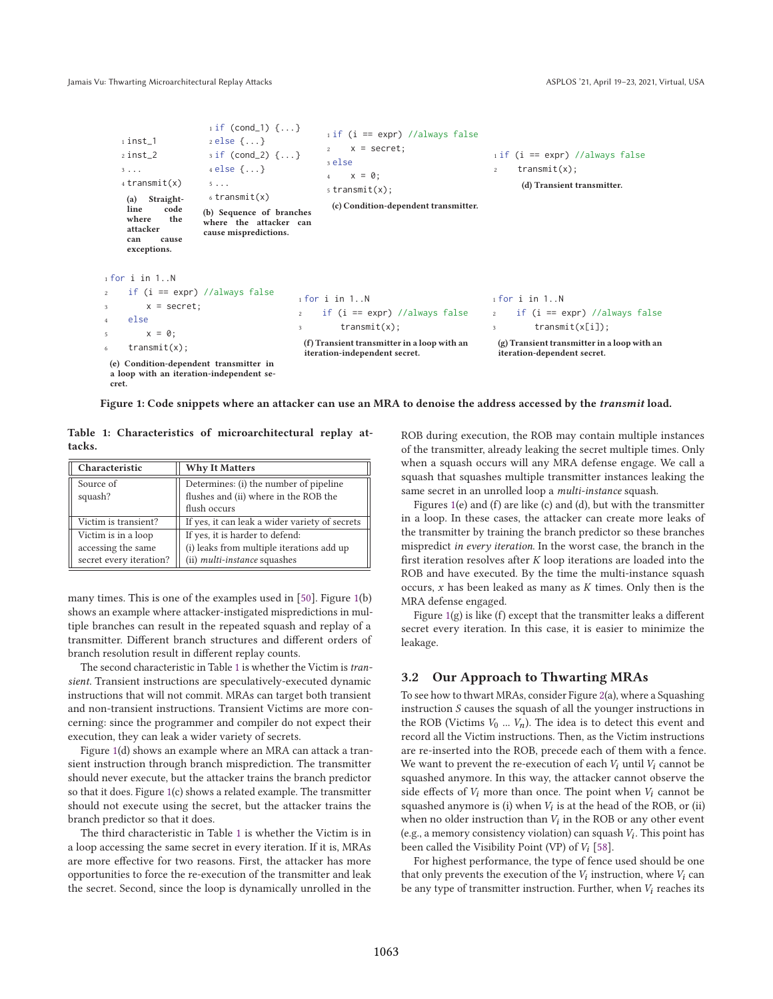Jamais Vu: Thwarting Microarchitectural Replay Attacks ASPLOS is a compared to the ASPLOS '21, April 19–23, 2021, Virtual, USA

```
1 inst 12 inst_2
    3 ...
    4 transmit(x)
     (a) Straight-
     line code<br>where the
     where
     attacker
     can cause
     exceptions.
                       1 if (cond_1) {...}2 else {...}
                       3 if (cond_2) {...}
                       4 else {...}
                       5 ...
                       6 transmit(x)(b) Sequence of branches
                      where the attacker can
                      cause mispredictions.
                                                  1 if (i == expr) // always false2 \times = secret;
                                                  3 else
                                                  4 \times = \emptyset;
                                                  5 transmit(x);
                                                   (c) Condition-dependent transmitter.
                                                                                        1 if (i == expr) // always falsetransmit(x);(d) Transient transmitter.
1 for i in 1..N
     if (i == expr) //always false
         x = secret:
     else
         x = 0;
     transmit(x);(e) Condition-dependent transmitter in
 a loop with an iteration-independent se-
                                            1 for i in 1..N
                                            2 if (i == expr) //always false
                                            3 transmit(x);
                                             (f) Transient transmitter in a loop with an
                                             iteration-independent secret.
                                                                                       1 for i in 1..N
                                                                                       2 if (i == expr) //always false
                                                                                       3 transmit(x[i]);
                                                                                         (g) Transient transmitter in a loop with an
                                                                                         iteration-dependent secret.
```
Figure 1: Code snippets where an attacker can use an MRA to denoise the address accessed by the *transmit* load.

Table 1: Characteristics of microarchitectural replay attacks.

cret.

| Characteristic          | <b>Why It Matters</b>                          |
|-------------------------|------------------------------------------------|
| Source of               | Determines: (i) the number of pipeline         |
| squash?                 | flushes and (ii) where in the ROB the          |
|                         | flush occurs                                   |
| Victim is transient?    | If yes, it can leak a wider variety of secrets |
| Victim is in a loop     | If yes, it is harder to defend:                |
| accessing the same      | (i) leaks from multiple iterations add up      |
| secret every iteration? | (ii) <i>multi-instance</i> squashes            |

many times. This is one of the examples used in [50]. Figure 1(b) shows an example where attacker-instigated mispredictions in multiple branches can result in the repeated squash and replay of a transmitter. Different branch structures and different orders of branch resolution result in different replay counts.

The second characteristic in Table 1 is whether the Victim is transient. Transient instructions are speculatively-executed dynamic instructions that will not commit. MRAs can target both transient and non-transient instructions. Transient Victims are more concerning: since the programmer and compiler do not expect their execution, they can leak a wider variety of secrets.

Figure 1(d) shows an example where an MRA can attack a transient instruction through branch misprediction. The transmitter should never execute, but the attacker trains the branch predictor so that it does. Figure 1(c) shows a related example. The transmitter should not execute using the secret, but the attacker trains the branch predictor so that it does.

The third characteristic in Table 1 is whether the Victim is in a loop accessing the same secret in every iteration. If it is, MRAs are more effective for two reasons. First, the attacker has more opportunities to force the re-execution of the transmitter and leak the secret. Second, since the loop is dynamically unrolled in the ROB during execution, the ROB may contain multiple instances of the transmitter, already leaking the secret multiple times. Only when a squash occurs will any MRA defense engage. We call a squash that squashes multiple transmitter instances leaking the same secret in an unrolled loop a *multi-instance* squash.

Figures 1(e) and (f) are like (c) and (d), but with the transmitter in a loop. In these cases, the attacker can create more leaks of the transmitter by training the branch predictor so these branches mispredict in every iteration. In the worst case, the branch in the first iteration resolves after  $K$  loop iterations are loaded into the ROB and have executed. By the time the multi-instance squash occurs,  $x$  has been leaked as many as  $K$  times. Only then is the MRA defense engaged.

Figure 1(g) is like (f) except that the transmitter leaks a different secret every iteration. In this case, it is easier to minimize the leakage.

## 3.2 Our Approach to Thwarting MRAs

To see how to thwart MRAs, consider Figure 2(a), where a Squashing instruction  $S$  causes the squash of all the younger instructions in the ROB (Victims  $V_0$  ...  $V_n$ ). The idea is to detect this event and record all the Victim instructions. Then, as the Victim instructions are re-inserted into the ROB, precede each of them with a fence. We want to prevent the re-execution of each  $V_i$  until  $V_i$  cannot be squashed anymore. In this way, the attacker cannot observe the side effects of  $V_i$  more than once. The point when  $V_i$  cannot be squashed anymore is (i) when  $V_i$  is at the head of the ROB, or (ii) when no older instruction than  $V_i$  in the ROB or any other event (e.g., a memory consistency violation) can squash  $V_i$ . This point has been called the Visibility Point (VP) of  $V_i$  [58].

For highest performance, the type of fence used should be one that only prevents the execution of the  $V_i$  instruction, where  $V_i$  can be any type of transmitter instruction. Further, when  $V_i$  reaches its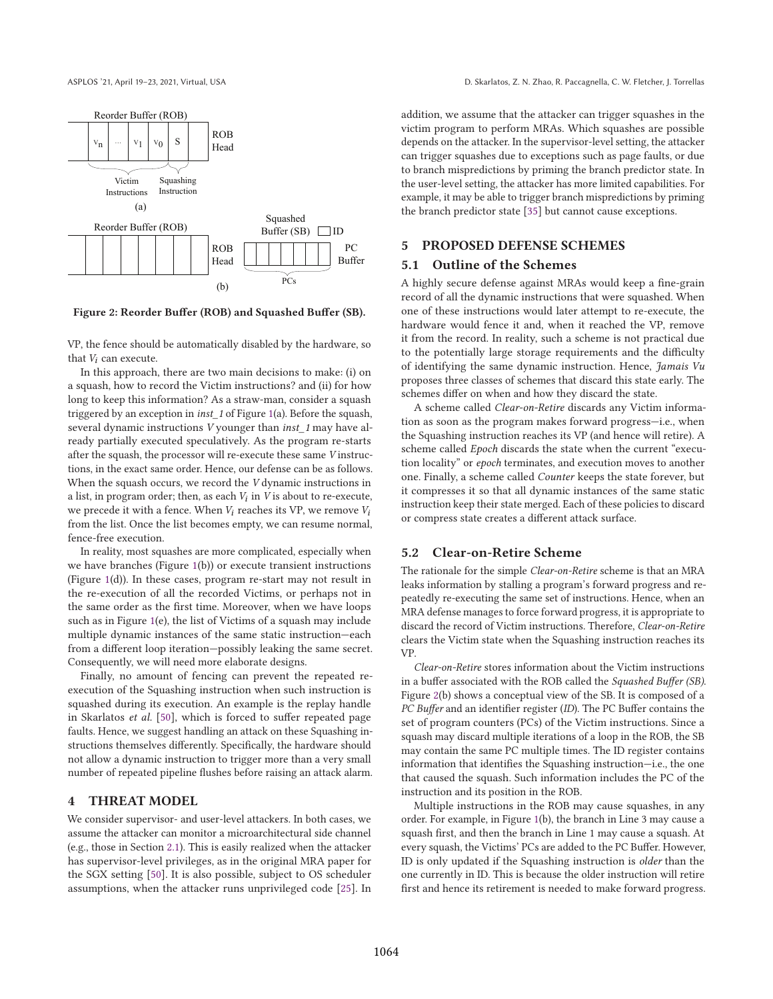

#### Figure 2: Reorder Buffer (ROB) and Squashed Buffer (SB).

VP, the fence should be automatically disabled by the hardware, so that  $V_i$  can execute.

In this approach, there are two main decisions to make: (i) on a squash, how to record the Victim instructions? and (ii) for how long to keep this information? As a straw-man, consider a squash triggered by an exception in inst\_1 of Figure 1(a). Before the squash, several dynamic instructions V younger than inst\_1 may have already partially executed speculatively. As the program re-starts after the squash, the processor will re-execute these same V instructions, in the exact same order. Hence, our defense can be as follows. When the squash occurs, we record the V dynamic instructions in a list, in program order; then, as each  $V_i$  in  $V$  is about to re-execute, we precede it with a fence. When  $V_i$  reaches its VP, we remove  $V_i$ from the list. Once the list becomes empty, we can resume normal, fence-free execution.

In reality, most squashes are more complicated, especially when we have branches (Figure 1(b)) or execute transient instructions (Figure 1(d)). In these cases, program re-start may not result in the re-execution of all the recorded Victims, or perhaps not in the same order as the first time. Moreover, when we have loops such as in Figure 1(e), the list of Victims of a squash may include multiple dynamic instances of the same static instruction—each from a different loop iteration—possibly leaking the same secret. Consequently, we will need more elaborate designs.

Finally, no amount of fencing can prevent the repeated reexecution of the Squashing instruction when such instruction is squashed during its execution. An example is the replay handle in Skarlatos et al. [50], which is forced to suffer repeated page faults. Hence, we suggest handling an attack on these Squashing instructions themselves differently. Specifically, the hardware should not allow a dynamic instruction to trigger more than a very small number of repeated pipeline flushes before raising an attack alarm.

#### 4 THREAT MODEL

We consider supervisor- and user-level attackers. In both cases, we assume the attacker can monitor a microarchitectural side channel (e.g., those in Section 2.1). This is easily realized when the attacker has supervisor-level privileges, as in the original MRA paper for the SGX setting [50]. It is also possible, subject to OS scheduler assumptions, when the attacker runs unprivileged code [25]. In addition, we assume that the attacker can trigger squashes in the victim program to perform MRAs. Which squashes are possible depends on the attacker. In the supervisor-level setting, the attacker can trigger squashes due to exceptions such as page faults, or due to branch mispredictions by priming the branch predictor state. In the user-level setting, the attacker has more limited capabilities. For example, it may be able to trigger branch mispredictions by priming the branch predictor state [35] but cannot cause exceptions.

## 5 PROPOSED DEFENSE SCHEMES

#### 5.1 Outline of the Schemes

A highly secure defense against MRAs would keep a fine-grain record of all the dynamic instructions that were squashed. When one of these instructions would later attempt to re-execute, the hardware would fence it and, when it reached the VP, remove it from the record. In reality, such a scheme is not practical due to the potentially large storage requirements and the difficulty of identifying the same dynamic instruction. Hence, Jamais Vu proposes three classes of schemes that discard this state early. The schemes differ on when and how they discard the state.

A scheme called Clear-on-Retire discards any Victim information as soon as the program makes forward progress—i.e., when the Squashing instruction reaches its VP (and hence will retire). A scheme called Epoch discards the state when the current "execution locality" or epoch terminates, and execution moves to another one. Finally, a scheme called Counter keeps the state forever, but it compresses it so that all dynamic instances of the same static instruction keep their state merged. Each of these policies to discard or compress state creates a different attack surface.

#### 5.2 Clear-on-Retire Scheme

The rationale for the simple Clear-on-Retire scheme is that an MRA leaks information by stalling a program's forward progress and repeatedly re-executing the same set of instructions. Hence, when an MRA defense manages to force forward progress, it is appropriate to discard the record of Victim instructions. Therefore, Clear-on-Retire clears the Victim state when the Squashing instruction reaches its VP.

Clear-on-Retire stores information about the Victim instructions in a buffer associated with the ROB called the Squashed Buffer (SB). Figure 2(b) shows a conceptual view of the SB. It is composed of a PC Buffer and an identifier register (ID). The PC Buffer contains the set of program counters (PCs) of the Victim instructions. Since a squash may discard multiple iterations of a loop in the ROB, the SB may contain the same PC multiple times. The ID register contains information that identifies the Squashing instruction—i.e., the one that caused the squash. Such information includes the PC of the instruction and its position in the ROB.

Multiple instructions in the ROB may cause squashes, in any order. For example, in Figure 1(b), the branch in Line 3 may cause a squash first, and then the branch in Line 1 may cause a squash. At every squash, the Victims' PCs are added to the PC Buffer. However, ID is only updated if the Squashing instruction is older than the one currently in ID. This is because the older instruction will retire first and hence its retirement is needed to make forward progress.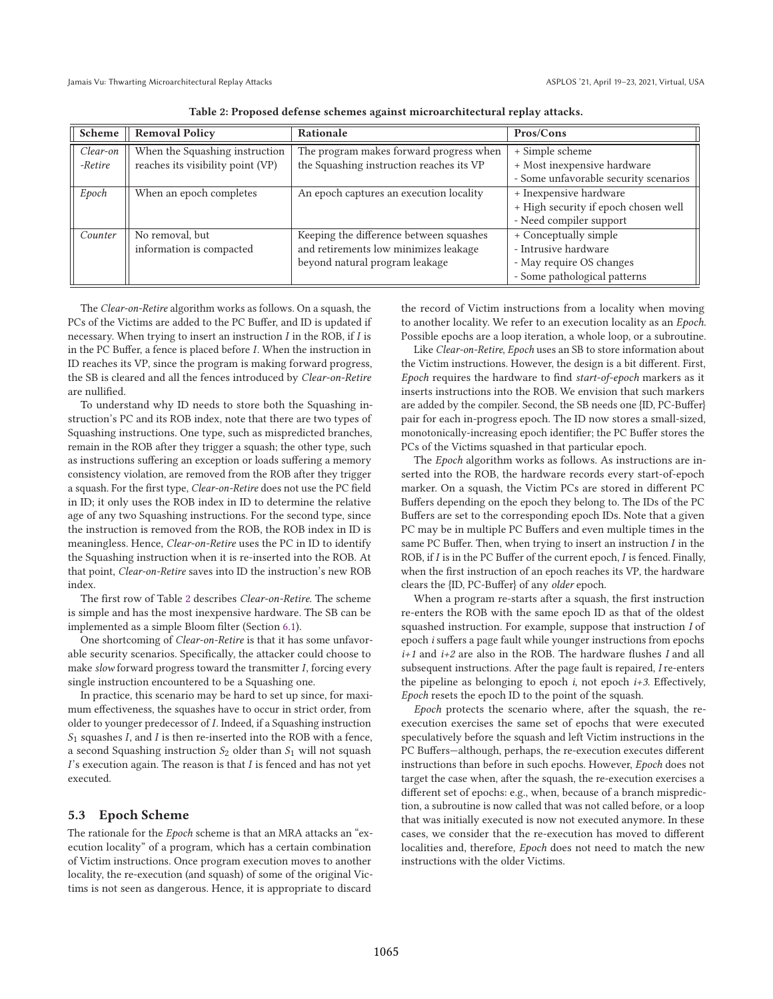| Scheme   | <b>Removal Policy</b>             | Rationale                                | Pros/Cons                             |
|----------|-----------------------------------|------------------------------------------|---------------------------------------|
| Clear-on | When the Squashing instruction    | The program makes forward progress when  | + Simple scheme                       |
| -Retire  | reaches its visibility point (VP) | the Squashing instruction reaches its VP | + Most inexpensive hardware           |
|          |                                   |                                          | - Some unfavorable security scenarios |
| Epoch    | When an epoch completes           | An epoch captures an execution locality  | + Inexpensive hardware                |
|          |                                   |                                          | + High security if epoch chosen well  |
|          |                                   |                                          | - Need compiler support               |
| Counter  | No removal, but                   | Keeping the difference between squashes  | + Conceptually simple                 |
|          | information is compacted          | and retirements low minimizes leakage    | - Intrusive hardware                  |
|          |                                   | beyond natural program leakage           | - May require OS changes              |
|          |                                   |                                          | - Some pathological patterns          |

Table 2: Proposed defense schemes against microarchitectural replay attacks.

The Clear-on-Retire algorithm works as follows. On a squash, the PCs of the Victims are added to the PC Buffer, and ID is updated if necessary. When trying to insert an instruction  $I$  in the ROB, if  $I$  is in the PC Buffer, a fence is placed before *I*. When the instruction in ID reaches its VP, since the program is making forward progress, the SB is cleared and all the fences introduced by Clear-on-Retire are nullified.

To understand why ID needs to store both the Squashing instruction's PC and its ROB index, note that there are two types of Squashing instructions. One type, such as mispredicted branches, remain in the ROB after they trigger a squash; the other type, such as instructions suffering an exception or loads suffering a memory consistency violation, are removed from the ROB after they trigger a squash. For the first type, Clear-on-Retire does not use the PC field in ID; it only uses the ROB index in ID to determine the relative age of any two Squashing instructions. For the second type, since the instruction is removed from the ROB, the ROB index in ID is meaningless. Hence, Clear-on-Retire uses the PC in ID to identify the Squashing instruction when it is re-inserted into the ROB. At that point, Clear-on-Retire saves into ID the instruction's new ROB index.

The first row of Table 2 describes Clear-on-Retire. The scheme is simple and has the most inexpensive hardware. The SB can be implemented as a simple Bloom filter (Section 6.1).

One shortcoming of Clear-on-Retire is that it has some unfavorable security scenarios. Specifically, the attacker could choose to make slow forward progress toward the transmitter  $I$ , forcing every single instruction encountered to be a Squashing one.

In practice, this scenario may be hard to set up since, for maximum effectiveness, the squashes have to occur in strict order, from older to younger predecessor of *I*. Indeed, if a Squashing instruction  $S_1$  squashes  $I$ , and  $I$  is then re-inserted into the ROB with a fence, a second Squashing instruction  $S_2$  older than  $S_1$  will not squash  $I'$ s execution again. The reason is that  $I$  is fenced and has not yet executed.

#### 5.3 Epoch Scheme

The rationale for the *Epoch* scheme is that an MRA attacks an "execution locality" of a program, which has a certain combination of Victim instructions. Once program execution moves to another locality, the re-execution (and squash) of some of the original Victims is not seen as dangerous. Hence, it is appropriate to discard

the record of Victim instructions from a locality when moving to another locality. We refer to an execution locality as an Epoch. Possible epochs are a loop iteration, a whole loop, or a subroutine.

Like Clear-on-Retire, Epoch uses an SB to store information about the Victim instructions. However, the design is a bit different. First, Epoch requires the hardware to find start-of-epoch markers as it inserts instructions into the ROB. We envision that such markers are added by the compiler. Second, the SB needs one {ID, PC-Buffer} pair for each in-progress epoch. The ID now stores a small-sized, monotonically-increasing epoch identifier; the PC Buffer stores the PCs of the Victims squashed in that particular epoch.

The Epoch algorithm works as follows. As instructions are inserted into the ROB, the hardware records every start-of-epoch marker. On a squash, the Victim PCs are stored in different PC Buffers depending on the epoch they belong to. The IDs of the PC Buffers are set to the corresponding epoch IDs. Note that a given PC may be in multiple PC Buffers and even multiple times in the same PC Buffer. Then, when trying to insert an instruction  $I$  in the ROB, if  $I$  is in the PC Buffer of the current epoch,  $I$  is fenced. Finally, when the first instruction of an epoch reaches its VP, the hardware clears the {ID, PC-Buffer} of any older epoch.

When a program re-starts after a squash, the first instruction re-enters the ROB with the same epoch ID as that of the oldest squashed instruction. For example, suppose that instruction I of epoch i suffers a page fault while younger instructions from epochs  $i+1$  and  $i+2$  are also in the ROB. The hardware flushes I and all subsequent instructions. After the page fault is repaired, I re-enters the pipeline as belonging to epoch  $i$ , not epoch  $i+3$ . Effectively, Epoch resets the epoch ID to the point of the squash.

Epoch protects the scenario where, after the squash, the reexecution exercises the same set of epochs that were executed speculatively before the squash and left Victim instructions in the PC Buffers—although, perhaps, the re-execution executes different instructions than before in such epochs. However, Epoch does not target the case when, after the squash, the re-execution exercises a different set of epochs: e.g., when, because of a branch misprediction, a subroutine is now called that was not called before, or a loop that was initially executed is now not executed anymore. In these cases, we consider that the re-execution has moved to different localities and, therefore, Epoch does not need to match the new instructions with the older Victims.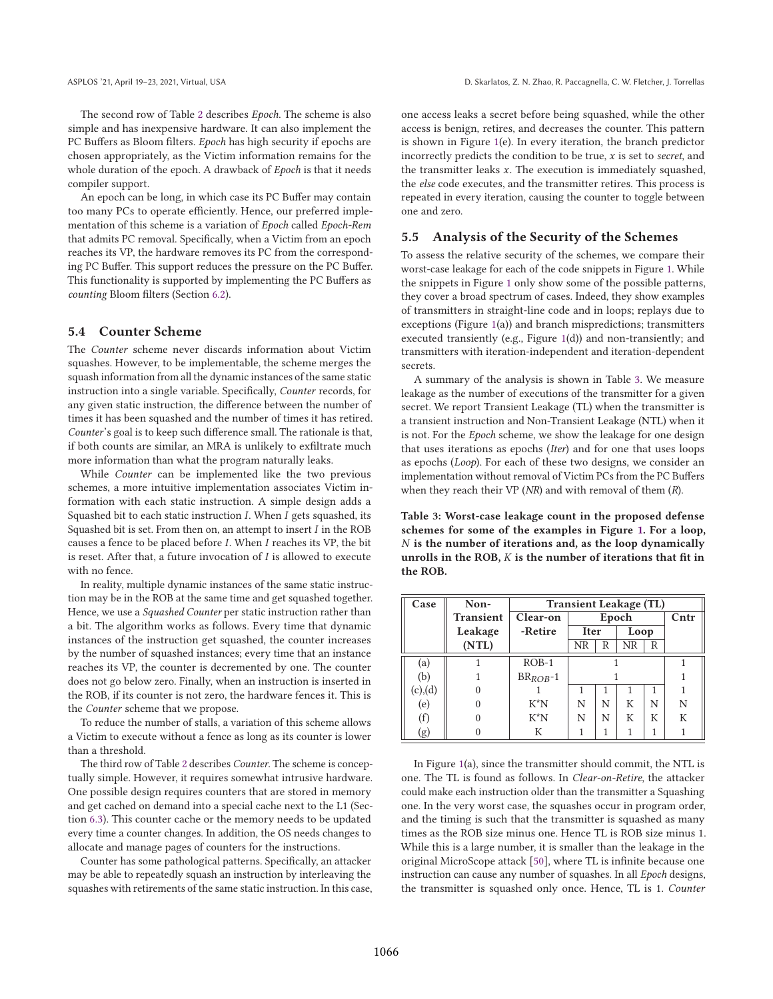The second row of Table 2 describes Epoch. The scheme is also simple and has inexpensive hardware. It can also implement the PC Buffers as Bloom filters. Epoch has high security if epochs are chosen appropriately, as the Victim information remains for the whole duration of the epoch. A drawback of Epoch is that it needs compiler support.

An epoch can be long, in which case its PC Buffer may contain too many PCs to operate efficiently. Hence, our preferred implementation of this scheme is a variation of Epoch called Epoch-Rem that admits PC removal. Specifically, when a Victim from an epoch reaches its VP, the hardware removes its PC from the corresponding PC Buffer. This support reduces the pressure on the PC Buffer. This functionality is supported by implementing the PC Buffers as counting Bloom filters (Section 6.2).

# 5.4 Counter Scheme

The Counter scheme never discards information about Victim squashes. However, to be implementable, the scheme merges the squash information from all the dynamic instances of the same static instruction into a single variable. Specifically, Counter records, for any given static instruction, the difference between the number of times it has been squashed and the number of times it has retired. Counter's goal is to keep such difference small. The rationale is that, if both counts are similar, an MRA is unlikely to exfiltrate much more information than what the program naturally leaks.

While Counter can be implemented like the two previous schemes, a more intuitive implementation associates Victim information with each static instruction. A simple design adds a Squashed bit to each static instruction  $I$ . When  $I$  gets squashed, its Squashed bit is set. From then on, an attempt to insert  $I$  in the ROB causes a fence to be placed before *I*. When *I* reaches its VP, the bit is reset. After that, a future invocation of  $I$  is allowed to execute with no fence.

In reality, multiple dynamic instances of the same static instruction may be in the ROB at the same time and get squashed together. Hence, we use a Squashed Counter per static instruction rather than a bit. The algorithm works as follows. Every time that dynamic instances of the instruction get squashed, the counter increases by the number of squashed instances; every time that an instance reaches its VP, the counter is decremented by one. The counter does not go below zero. Finally, when an instruction is inserted in the ROB, if its counter is not zero, the hardware fences it. This is the Counter scheme that we propose.

To reduce the number of stalls, a variation of this scheme allows a Victim to execute without a fence as long as its counter is lower than a threshold.

The third row of Table 2 describes Counter. The scheme is conceptually simple. However, it requires somewhat intrusive hardware. One possible design requires counters that are stored in memory and get cached on demand into a special cache next to the L1 (Section 6.3). This counter cache or the memory needs to be updated every time a counter changes. In addition, the OS needs changes to allocate and manage pages of counters for the instructions.

Counter has some pathological patterns. Specifically, an attacker may be able to repeatedly squash an instruction by interleaving the squashes with retirements of the same static instruction. In this case, one access leaks a secret before being squashed, while the other access is benign, retires, and decreases the counter. This pattern is shown in Figure 1(e). In every iteration, the branch predictor incorrectly predicts the condition to be true,  $x$  is set to secret, and the transmitter leaks  $x$ . The execution is immediately squashed, the else code executes, and the transmitter retires. This process is repeated in every iteration, causing the counter to toggle between one and zero.

#### 5.5 Analysis of the Security of the Schemes

To assess the relative security of the schemes, we compare their worst-case leakage for each of the code snippets in Figure 1. While the snippets in Figure 1 only show some of the possible patterns, they cover a broad spectrum of cases. Indeed, they show examples of transmitters in straight-line code and in loops; replays due to exceptions (Figure 1(a)) and branch mispredictions; transmitters executed transiently (e.g., Figure 1(d)) and non-transiently; and transmitters with iteration-independent and iteration-dependent secrets.

A summary of the analysis is shown in Table 3. We measure leakage as the number of executions of the transmitter for a given secret. We report Transient Leakage (TL) when the transmitter is a transient instruction and Non-Transient Leakage (NTL) when it is not. For the Epoch scheme, we show the leakage for one design that uses iterations as epochs (Iter) and for one that uses loops as epochs (Loop). For each of these two designs, we consider an implementation without removal of Victim PCs from the PC Buffers when they reach their VP ( $NR$ ) and with removal of them  $(R)$ .

Table 3: Worst-case leakage count in the proposed defense schemes for some of the examples in Figure 1. For a loop,  $N$  is the number of iterations and, as the loop dynamically unrolls in the ROB,  $K$  is the number of iterations that fit in the ROB.

| Case    | Non-             | <b>Transient Leakage (TL)</b> |             |       |      |   |      |
|---------|------------------|-------------------------------|-------------|-------|------|---|------|
|         | <b>Transient</b> | Clear-on                      |             | Epoch |      |   | Cntr |
|         | Leakage          | -Retire                       | <b>Iter</b> |       | Loop |   |      |
|         | (NTL)            |                               | NR          | R     | NR   | R |      |
| (a)     |                  | $ROB-1$                       |             |       |      |   |      |
| (b)     |                  | $BR_{ROB}$ -1                 |             |       |      |   |      |
| (c),(d) |                  |                               |             |       |      |   |      |
| (e)     |                  | $K^*N$                        | N           | N     | К    | N | N    |
| (f)     |                  | $K^*N$                        | N           | N     | К    | К | К    |
| (g)     |                  | К                             |             |       |      |   |      |

In Figure 1(a), since the transmitter should commit, the NTL is one. The TL is found as follows. In Clear-on-Retire, the attacker could make each instruction older than the transmitter a Squashing one. In the very worst case, the squashes occur in program order, and the timing is such that the transmitter is squashed as many times as the ROB size minus one. Hence TL is ROB size minus 1. While this is a large number, it is smaller than the leakage in the original MicroScope attack [50], where TL is infinite because one instruction can cause any number of squashes. In all Epoch designs, the transmitter is squashed only once. Hence, TL is 1. Counter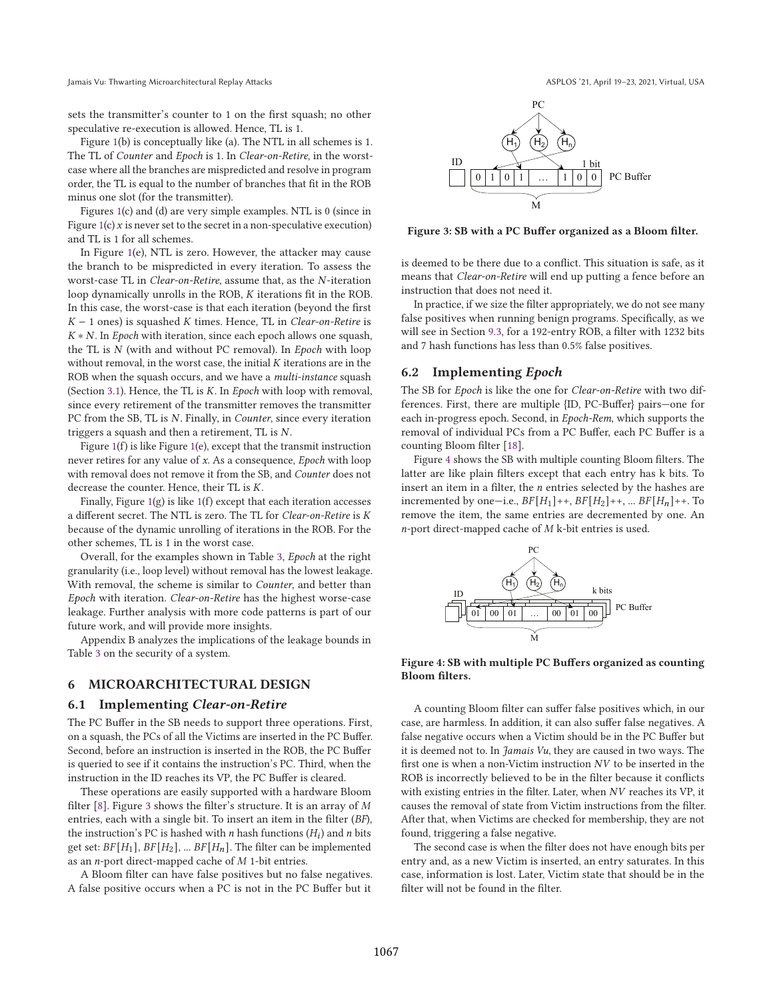Jamais Vu: Thwarting Microarchitectural Replay Attacks ASPLOS is a compared to the ASPLOS '21, April 19–23, 2021, Virtual, USA

sets the transmitter's counter to 1 on the first squash; no other speculative re-execution is allowed. Hence, TL is 1.

Figure 1(b) is conceptually like (a). The NTL in all schemes is 1. The TL of Counter and Epoch is 1. In Clear-on-Retire, in the worstcase where all the branches are mispredicted and resolve in program order, the TL is equal to the number of branches that fit in the ROB minus one slot (for the transmitter).

Figures 1(c) and (d) are very simple examples. NTL is 0 (since in Figure  $1(c)$  x is never set to the secret in a non-speculative execution) and TL is 1 for all schemes.

In Figure 1(e), NTL is zero. However, the attacker may cause the branch to be mispredicted in every iteration. To assess the worst-case TL in *Clear-on-Retire*, assume that, as the *N*-iteration loop dynamically unrolls in the ROB,  $K$  iterations fit in the ROB. In this case, the worst-case is that each iteration (beyond the first  $K - 1$  ones) is squashed K times. Hence, TL in Clear-on-Retire is  $K * N$ . In Epoch with iteration, since each epoch allows one squash, the TL is  $N$  (with and without PC removal). In Epoch with loop without removal, in the worst case, the initial  $K$  iterations are in the ROB when the squash occurs, and we have a multi-instance squash (Section 3.1). Hence, the TL is  $K$ . In Epoch with loop with removal, since every retirement of the transmitter removes the transmitter PC from the SB, TL is N. Finally, in *Counter*, since every iteration triggers a squash and then a retirement, TL is  $N$ .

Figure 1(f) is like Figure 1(e), except that the transmit instruction never retires for any value of x. As a consequence, Epoch with loop with removal does not remove it from the SB, and Counter does not decrease the counter. Hence, their  $TL$  is  $K$ .

Finally, Figure  $1(g)$  is like  $1(f)$  except that each iteration accesses a different secret. The NTL is zero. The TL for Clear-on-Retire is K because of the dynamic unrolling of iterations in the ROB. For the other schemes, TL is 1 in the worst case.

Overall, for the examples shown in Table 3, Epoch at the right granularity (i.e., loop level) without removal has the lowest leakage. With removal, the scheme is similar to Counter, and better than Epoch with iteration. Clear-on-Retire has the highest worse-case leakage. Further analysis with more code patterns is part of our future work, and will provide more insights.

Appendix B analyzes the implications of the leakage bounds in Table 3 on the security of a system.

## 6 MICROARCHITECTURAL DESIGN

#### 6.1 Implementing Clear-on-Retire

The PC Buffer in the SB needs to support three operations. First, on a squash, the PCs of all the Victims are inserted in the PC Buffer. Second, before an instruction is inserted in the ROB, the PC Buffer is queried to see if it contains the instruction's PC. Third, when the instruction in the ID reaches its VP, the PC Buffer is cleared.

These operations are easily supported with a hardware Bloom filter [8]. Figure 3 shows the filter's structure. It is an array of  $M$ entries, each with a single bit. To insert an item in the filter (BF), the instruction's PC is hashed with  $n$  hash functions  $(H_i)$  and  $n$  bits get set:  $BF[H_1], BF[H_2], ... BF[H_n]$ . The filter can be implemented as an  $n$ -port direct-mapped cache of  $M$  1-bit entries.

A Bloom filter can have false positives but no false negatives. A false positive occurs when a PC is not in the PC Buffer but it



Figure 3: SB with a PC Buffer organized as a Bloom filter.

is deemed to be there due to a conflict. This situation is safe, as it means that Clear-on-Retire will end up putting a fence before an instruction that does not need it.

In practice, if we size the filter appropriately, we do not see many false positives when running benign programs. Specifically, as we will see in Section 9.3, for a 192-entry ROB, a filter with 1232 bits and 7 hash functions has less than 0.5% false positives.

#### 6.2 Implementing Epoch

The SB for Epoch is like the one for Clear-on-Retire with two differences. First, there are multiple {ID, PC-Buffer} pairs—one for each in-progress epoch. Second, in Epoch-Rem, which supports the removal of individual PCs from a PC Buffer, each PC Buffer is a counting Bloom filter [18].

Figure 4 shows the SB with multiple counting Bloom filters. The latter are like plain filters except that each entry has k bits. To insert an item in a filter, the  $n$  entries selected by the hashes are incremented by one—i.e.,  $BF[H_1]+$ ,  $BF[H_2]+$ , ...  $BF[H_n]+$ . To remove the item, the same entries are decremented by one. An  $n$ -port direct-mapped cache of  $M$  k-bit entries is used.



Figure 4: SB with multiple PC Buffers organized as counting Bloom filters.

A counting Bloom filter can suffer false positives which, in our case, are harmless. In addition, it can also suffer false negatives. A false negative occurs when a Victim should be in the PC Buffer but it is deemed not to. In Jamais Vu, they are caused in two ways. The first one is when a non-Victim instruction  $NV$  to be inserted in the ROB is incorrectly believed to be in the filter because it conflicts with existing entries in the filter. Later, when NV reaches its VP, it causes the removal of state from Victim instructions from the filter. After that, when Victims are checked for membership, they are not found, triggering a false negative.

The second case is when the filter does not have enough bits per entry and, as a new Victim is inserted, an entry saturates. In this case, information is lost. Later, Victim state that should be in the filter will not be found in the filter.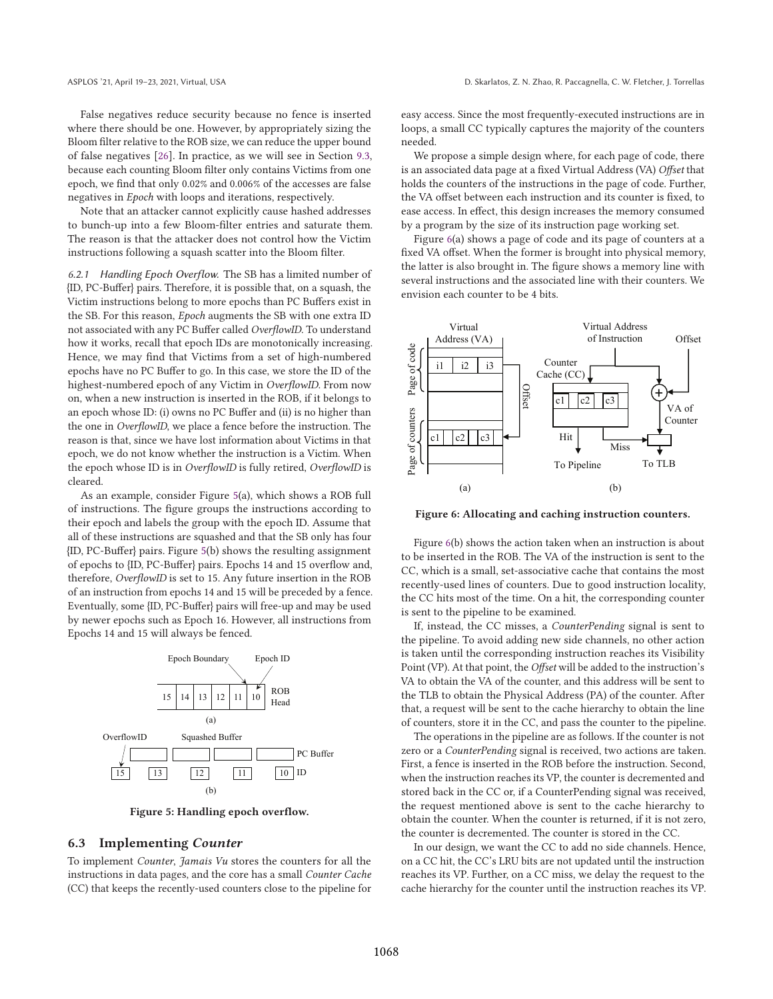False negatives reduce security because no fence is inserted where there should be one. However, by appropriately sizing the Bloom filter relative to the ROB size, we can reduce the upper bound of false negatives [26]. In practice, as we will see in Section 9.3, because each counting Bloom filter only contains Victims from one epoch, we find that only 0.02% and 0.006% of the accesses are false negatives in Epoch with loops and iterations, respectively.

Note that an attacker cannot explicitly cause hashed addresses to bunch-up into a few Bloom-filter entries and saturate them. The reason is that the attacker does not control how the Victim instructions following a squash scatter into the Bloom filter.

6.2.1 Handling Epoch Overflow. The SB has a limited number of {ID, PC-Buffer} pairs. Therefore, it is possible that, on a squash, the Victim instructions belong to more epochs than PC Buffers exist in the SB. For this reason, Epoch augments the SB with one extra ID not associated with any PC Buffer called *OverflowID*. To understand how it works, recall that epoch IDs are monotonically increasing. Hence, we may find that Victims from a set of high-numbered epochs have no PC Buffer to go. In this case, we store the ID of the highest-numbered epoch of any Victim in OverflowID. From now on, when a new instruction is inserted in the ROB, if it belongs to an epoch whose ID: (i) owns no PC Buffer and (ii) is no higher than the one in OverflowID, we place a fence before the instruction. The reason is that, since we have lost information about Victims in that epoch, we do not know whether the instruction is a Victim. When the epoch whose ID is in *OverflowID* is fully retired, *OverflowID* is cleared.

As an example, consider Figure 5(a), which shows a ROB full of instructions. The figure groups the instructions according to their epoch and labels the group with the epoch ID. Assume that all of these instructions are squashed and that the SB only has four {ID, PC-Buffer} pairs. Figure 5(b) shows the resulting assignment of epochs to {ID, PC-Buffer} pairs. Epochs 14 and 15 overflow and, therefore, OverflowID is set to 15. Any future insertion in the ROB of an instruction from epochs 14 and 15 will be preceded by a fence. Eventually, some {ID, PC-Buffer} pairs will free-up and may be used by newer epochs such as Epoch 16. However, all instructions from Epochs 14 and 15 will always be fenced.



Figure 5: Handling epoch overflow.

## 6.3 Implementing Counter

To implement Counter, Jamais Vu stores the counters for all the instructions in data pages, and the core has a small Counter Cache (CC) that keeps the recently-used counters close to the pipeline for

easy access. Since the most frequently-executed instructions are in loops, a small CC typically captures the majority of the counters needed.

We propose a simple design where, for each page of code, there is an associated data page at a fixed Virtual Address (VA) Offset that holds the counters of the instructions in the page of code. Further, the VA offset between each instruction and its counter is fixed, to ease access. In effect, this design increases the memory consumed by a program by the size of its instruction page working set.

Figure 6(a) shows a page of code and its page of counters at a fixed VA offset. When the former is brought into physical memory, the latter is also brought in. The figure shows a memory line with several instructions and the associated line with their counters. We envision each counter to be 4 bits.



Figure 6: Allocating and caching instruction counters.

Figure 6(b) shows the action taken when an instruction is about to be inserted in the ROB. The VA of the instruction is sent to the CC, which is a small, set-associative cache that contains the most recently-used lines of counters. Due to good instruction locality, the CC hits most of the time. On a hit, the corresponding counter is sent to the pipeline to be examined.

If, instead, the CC misses, a CounterPending signal is sent to the pipeline. To avoid adding new side channels, no other action is taken until the corresponding instruction reaches its Visibility Point (VP). At that point, the Offset will be added to the instruction's VA to obtain the VA of the counter, and this address will be sent to the TLB to obtain the Physical Address (PA) of the counter. After that, a request will be sent to the cache hierarchy to obtain the line of counters, store it in the CC, and pass the counter to the pipeline.

The operations in the pipeline are as follows. If the counter is not zero or a CounterPending signal is received, two actions are taken. First, a fence is inserted in the ROB before the instruction. Second, when the instruction reaches its VP, the counter is decremented and stored back in the CC or, if a CounterPending signal was received, the request mentioned above is sent to the cache hierarchy to obtain the counter. When the counter is returned, if it is not zero, the counter is decremented. The counter is stored in the CC.

In our design, we want the CC to add no side channels. Hence, on a CC hit, the CC's LRU bits are not updated until the instruction reaches its VP. Further, on a CC miss, we delay the request to the cache hierarchy for the counter until the instruction reaches its VP.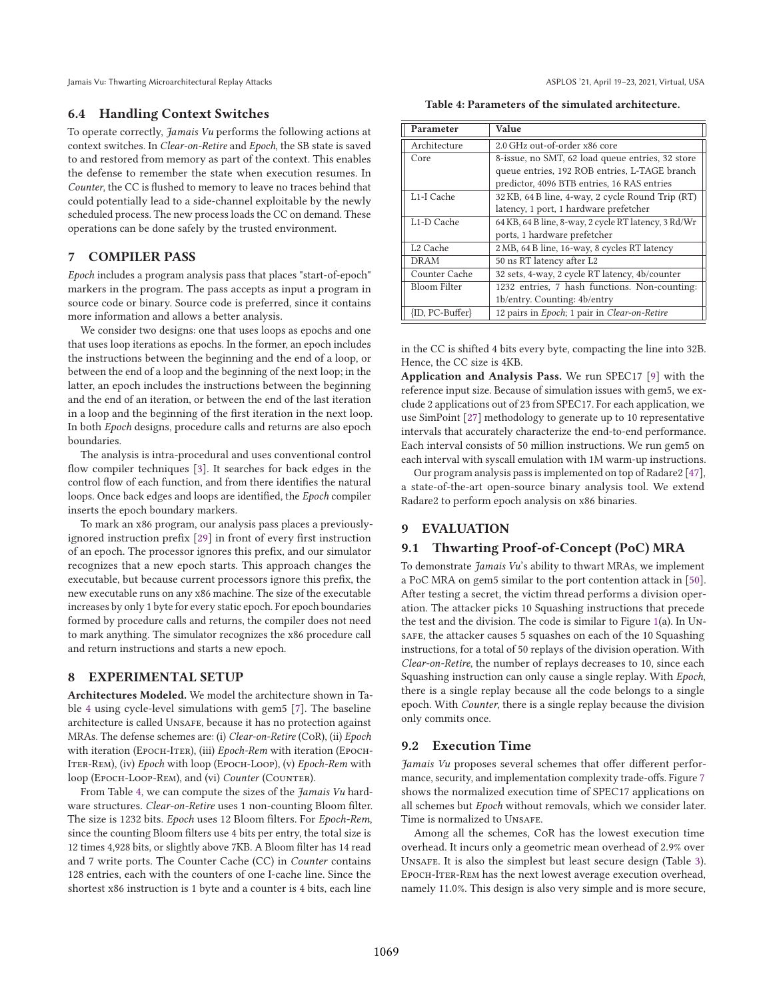Jamais Vu: Thwarting Microarchitectural Replay Attacks ASPLOS (21, April 19–23, 2021, Virtual, USA

#### 6.4 Handling Context Switches

To operate correctly, Jamais Vu performs the following actions at context switches. In Clear-on-Retire and Epoch, the SB state is saved to and restored from memory as part of the context. This enables the defense to remember the state when execution resumes. In Counter, the CC is flushed to memory to leave no traces behind that could potentially lead to a side-channel exploitable by the newly scheduled process. The new process loads the CC on demand. These operations can be done safely by the trusted environment.

## 7 COMPILER PASS

Epoch includes a program analysis pass that places "start-of-epoch" markers in the program. The pass accepts as input a program in source code or binary. Source code is preferred, since it contains more information and allows a better analysis.

We consider two designs: one that uses loops as epochs and one that uses loop iterations as epochs. In the former, an epoch includes the instructions between the beginning and the end of a loop, or between the end of a loop and the beginning of the next loop; in the latter, an epoch includes the instructions between the beginning and the end of an iteration, or between the end of the last iteration in a loop and the beginning of the first iteration in the next loop. In both Epoch designs, procedure calls and returns are also epoch boundaries.

The analysis is intra-procedural and uses conventional control flow compiler techniques [3]. It searches for back edges in the control flow of each function, and from there identifies the natural loops. Once back edges and loops are identified, the Epoch compiler inserts the epoch boundary markers.

To mark an x86 program, our analysis pass places a previouslyignored instruction prefix [29] in front of every first instruction of an epoch. The processor ignores this prefix, and our simulator recognizes that a new epoch starts. This approach changes the executable, but because current processors ignore this prefix, the new executable runs on any x86 machine. The size of the executable increases by only 1 byte for every static epoch. For epoch boundaries formed by procedure calls and returns, the compiler does not need to mark anything. The simulator recognizes the x86 procedure call and return instructions and starts a new epoch.

## 8 EXPERIMENTAL SETUP

Architectures Modeled. We model the architecture shown in Table 4 using cycle-level simulations with gem5 [7]. The baseline architecture is called Unsafe, because it has no protection against MRAs. The defense schemes are: (i) Clear-on-Retire (CoR), (ii) Epoch with iteration (Еросн-Ітек), (iii) Epoch-Rem with iteration (Еросн-ITER-REM), (iv) Epoch with loop (EPOCH-LOOP), (v) Epoch-Rem with loop (Еросн-Loop-REM), and (vi) Counter (COUNTER).

From Table 4, we can compute the sizes of the Jamais Vu hardware structures. Clear-on-Retire uses 1 non-counting Bloom filter. The size is 1232 bits. Epoch uses 12 Bloom filters. For Epoch-Rem, since the counting Bloom filters use 4 bits per entry, the total size is 12 times 4,928 bits, or slightly above 7KB. A Bloom filter has 14 read and 7 write ports. The Counter Cache (CC) in Counter contains 128 entries, each with the counters of one I-cache line. Since the shortest x86 instruction is 1 byte and a counter is 4 bits, each line

Table 4: Parameters of the simulated architecture.

| Parameter               | Value                                                                                                                                            |
|-------------------------|--------------------------------------------------------------------------------------------------------------------------------------------------|
| Architecture            | 2.0 GHz out-of-order x86 core                                                                                                                    |
| Core                    | 8-issue, no SMT, 62 load queue entries, 32 store<br>queue entries, 192 ROB entries, L-TAGE branch<br>predictor, 4096 BTB entries, 16 RAS entries |
| L1-I Cache              | 32 KB, 64 B line, 4-way, 2 cycle Round Trip (RT)<br>latency, 1 port, 1 hardware prefetcher                                                       |
| L <sub>1</sub> -D Cache | 64 KB, 64 B line, 8-way, 2 cycle RT latency, 3 Rd/Wr<br>ports, 1 hardware prefetcher                                                             |
| L <sub>2</sub> Cache    | 2 MB, 64 B line, 16-way, 8 cycles RT latency                                                                                                     |
| DRAM                    | 50 ns RT latency after L2                                                                                                                        |
| Counter Cache           | 32 sets, 4-way, 2 cycle RT latency, 4b/counter                                                                                                   |
| <b>Bloom Filter</b>     | 1232 entries, 7 hash functions. Non-counting:<br>1b/entry. Counting: 4b/entry                                                                    |
| {ID, PC-Buffer}         | 12 pairs in Epoch; 1 pair in Clear-on-Retire                                                                                                     |

in the CC is shifted 4 bits every byte, compacting the line into 32B. Hence, the CC size is 4KB.

Application and Analysis Pass. We run SPEC17 [9] with the reference input size. Because of simulation issues with gem5, we exclude 2 applications out of 23 from SPEC17. For each application, we use SimPoint [27] methodology to generate up to 10 representative intervals that accurately characterize the end-to-end performance. Each interval consists of 50 million instructions. We run gem5 on each interval with syscall emulation with 1M warm-up instructions.

Our program analysis pass is implemented on top of Radare2 [47], a state-of-the-art open-source binary analysis tool. We extend Radare2 to perform epoch analysis on x86 binaries.

# 9 EVALUATION

#### 9.1 Thwarting Proof-of-Concept (PoC) MRA

To demonstrate Jamais Vu's ability to thwart MRAs, we implement a PoC MRA on gem5 similar to the port contention attack in [50]. After testing a secret, the victim thread performs a division operation. The attacker picks 10 Squashing instructions that precede the test and the division. The code is similar to Figure 1(a). In Unsafe, the attacker causes 5 squashes on each of the 10 Squashing instructions, for a total of 50 replays of the division operation. With Clear-on-Retire, the number of replays decreases to 10, since each Squashing instruction can only cause a single replay. With Epoch, there is a single replay because all the code belongs to a single epoch. With Counter, there is a single replay because the division only commits once.

#### 9.2 Execution Time

Jamais Vu proposes several schemes that offer different performance, security, and implementation complexity trade-offs. Figure 7 shows the normalized execution time of SPEC17 applications on all schemes but Epoch without removals, which we consider later. Time is normalized to UNSAFE.

Among all the schemes, CoR has the lowest execution time overhead. It incurs only a geometric mean overhead of 2.9% over Unsafe. It is also the simplest but least secure design (Table 3). Epoch-Iter-Rem has the next lowest average execution overhead, namely 11.0%. This design is also very simple and is more secure,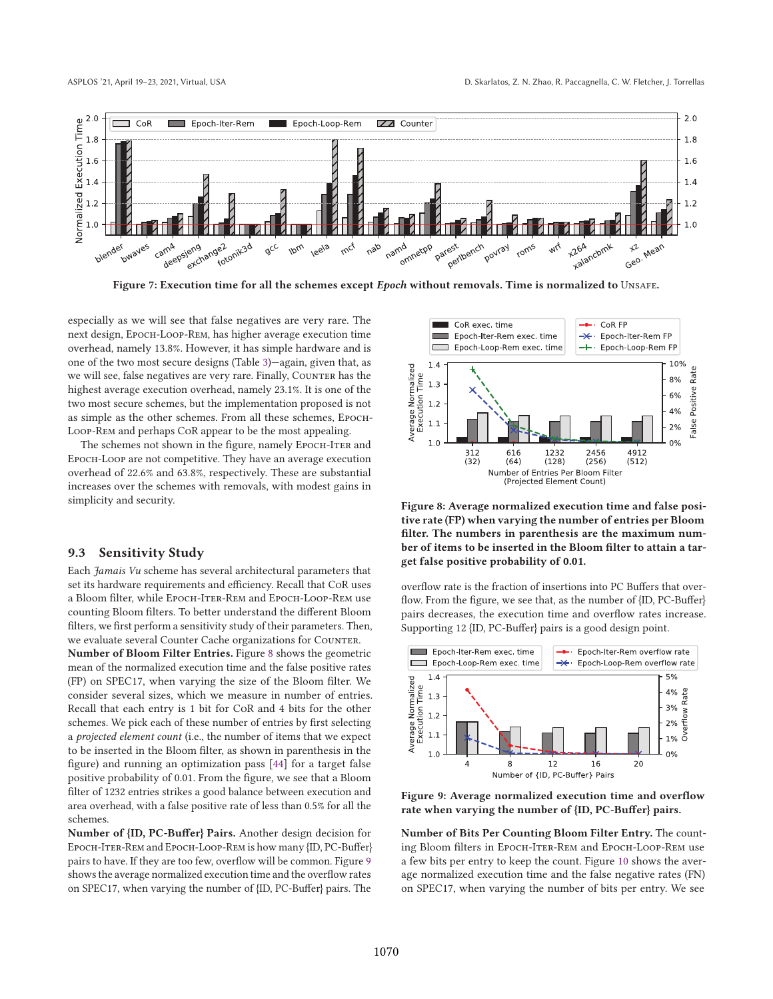

Figure 7: Execution time for all the schemes except Epoch without removals. Time is normalized to UNSAFE.

especially as we will see that false negatives are very rare. The next design, Epoch-Loop-Rem, has higher average execution time overhead, namely 13.8%. However, it has simple hardware and is one of the two most secure designs (Table 3)—again, given that, as we will see, false negatives are very rare. Finally, Counter has the highest average execution overhead, namely 23.1%. It is one of the two most secure schemes, but the implementation proposed is not as simple as the other schemes. From all these schemes, Epoch-Loop-Rem and perhaps CoR appear to be the most appealing.

The schemes not shown in the figure, namely EPOCH-ITER and Epoch-Loop are not competitive. They have an average execution overhead of 22.6% and 63.8%, respectively. These are substantial increases over the schemes with removals, with modest gains in simplicity and security.

#### 9.3 Sensitivity Study

Each Jamais Vu scheme has several architectural parameters that set its hardware requirements and efficiency. Recall that CoR uses a Bloom filter, while Epoch-Iter-Rem and Epoch-Loop-Rem use counting Bloom filters. To better understand the different Bloom filters, we first perform a sensitivity study of their parameters. Then, we evaluate several Counter Cache organizations for COUNTER.

Number of Bloom Filter Entries. Figure 8 shows the geometric mean of the normalized execution time and the false positive rates (FP) on SPEC17, when varying the size of the Bloom filter. We consider several sizes, which we measure in number of entries. Recall that each entry is 1 bit for CoR and 4 bits for the other schemes. We pick each of these number of entries by first selecting a projected element count (i.e., the number of items that we expect to be inserted in the Bloom filter, as shown in parenthesis in the figure) and running an optimization pass [44] for a target false positive probability of 0.01. From the figure, we see that a Bloom filter of 1232 entries strikes a good balance between execution and area overhead, with a false positive rate of less than 0.5% for all the schemes.

Number of {ID, PC-Buffer} Pairs. Another design decision for Epoch-Iter-Rem and Epoch-Loop-Rem is how many {ID, PC-Buffer} pairs to have. If they are too few, overflow will be common. Figure 9 shows the average normalized execution time and the overflow rates on SPEC17, when varying the number of {ID, PC-Buffer} pairs. The



Figure 8: Average normalized execution time and false positive rate (FP) when varying the number of entries per Bloom filter. The numbers in parenthesis are the maximum number of items to be inserted in the Bloom filter to attain a target false positive probability of 0.01.

overflow rate is the fraction of insertions into PC Buffers that overflow. From the figure, we see that, as the number of {ID, PC-Buffer} pairs decreases, the execution time and overflow rates increase. Supporting 12 {ID, PC-Buffer} pairs is a good design point.



Figure 9: Average normalized execution time and overflow rate when varying the number of {ID, PC-Buffer} pairs.

Number of Bits Per Counting Bloom Filter Entry. The counting Bloom filters in Epoch-Iter-Rem and Epoch-Loop-Rem use a few bits per entry to keep the count. Figure 10 shows the average normalized execution time and the false negative rates (FN) on SPEC17, when varying the number of bits per entry. We see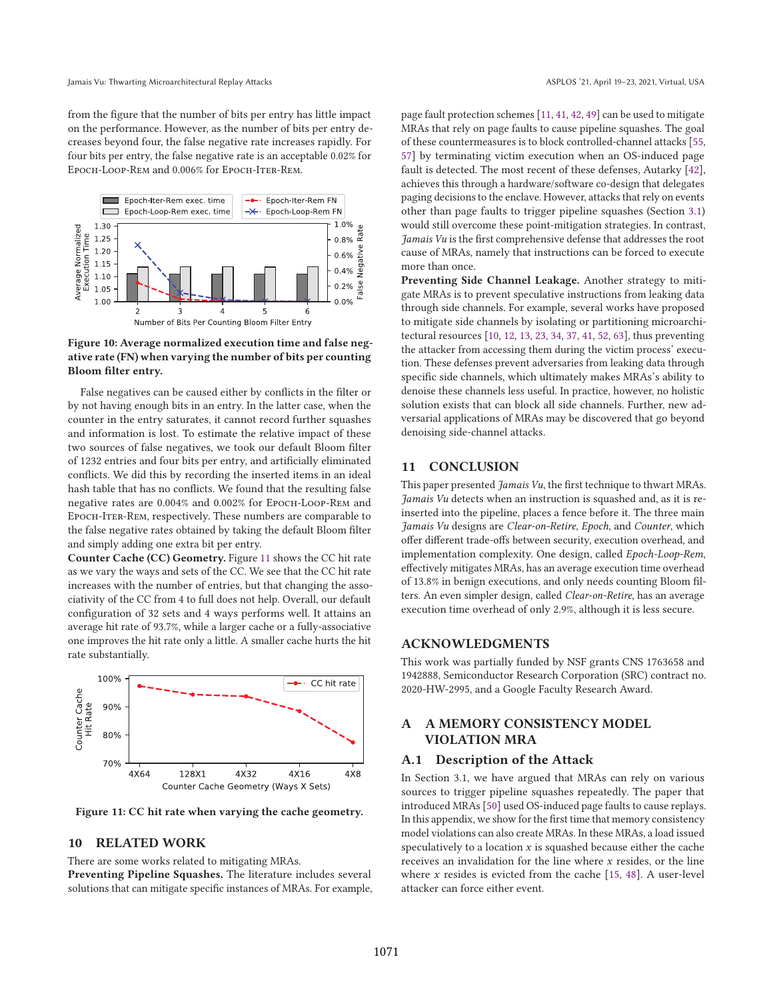from the figure that the number of bits per entry has little impact on the performance. However, as the number of bits per entry decreases beyond four, the false negative rate increases rapidly. For four bits per entry, the false negative rate is an acceptable 0.02% for Epoch-Loop-Rem and 0.006% for Epoch-Iter-Rem.



## Figure 10: Average normalized execution time and false negative rate (FN) when varying the number of bits per counting Bloom filter entry.

False negatives can be caused either by conflicts in the filter or by not having enough bits in an entry. In the latter case, when the counter in the entry saturates, it cannot record further squashes and information is lost. To estimate the relative impact of these two sources of false negatives, we took our default Bloom filter of 1232 entries and four bits per entry, and artificially eliminated conflicts. We did this by recording the inserted items in an ideal hash table that has no conflicts. We found that the resulting false negative rates are 0.004% and 0.002% for Epoch-Loop-Rem and Epoch-Iter-Rem, respectively. These numbers are comparable to the false negative rates obtained by taking the default Bloom filter and simply adding one extra bit per entry.

Counter Cache (CC) Geometry. Figure 11 shows the CC hit rate as we vary the ways and sets of the CC. We see that the CC hit rate increases with the number of entries, but that changing the associativity of the CC from 4 to full does not help. Overall, our default configuration of 32 sets and 4 ways performs well. It attains an average hit rate of 93.7%, while a larger cache or a fully-associative one improves the hit rate only a little. A smaller cache hurts the hit rate substantially.



Figure 11: CC hit rate when varying the cache geometry.

## 10 RELATED WORK

There are some works related to mitigating MRAs.

Preventing Pipeline Squashes. The literature includes several solutions that can mitigate specific instances of MRAs. For example, page fault protection schemes [11, 41, 42, 49] can be used to mitigate MRAs that rely on page faults to cause pipeline squashes. The goal of these countermeasures is to block controlled-channel attacks [55, 57] by terminating victim execution when an OS-induced page fault is detected. The most recent of these defenses, Autarky [42], achieves this through a hardware/software co-design that delegates paging decisions to the enclave. However, attacks that rely on events other than page faults to trigger pipeline squashes (Section 3.1) would still overcome these point-mitigation strategies. In contrast, Jamais Vu is the first comprehensive defense that addresses the root cause of MRAs, namely that instructions can be forced to execute more than once.

Preventing Side Channel Leakage. Another strategy to mitigate MRAs is to prevent speculative instructions from leaking data through side channels. For example, several works have proposed to mitigate side channels by isolating or partitioning microarchitectural resources [10, 12, 13, 23, 34, 37, 41, 52, 63], thus preventing the attacker from accessing them during the victim process' execution. These defenses prevent adversaries from leaking data through specific side channels, which ultimately makes MRAs's ability to denoise these channels less useful. In practice, however, no holistic solution exists that can block all side channels. Further, new adversarial applications of MRAs may be discovered that go beyond denoising side-channel attacks.

## 11 CONCLUSION

This paper presented *Jamais Vu*, the first technique to thwart MRAs. Jamais Vu detects when an instruction is squashed and, as it is reinserted into the pipeline, places a fence before it. The three main Jamais Vu designs are Clear-on-Retire, Epoch, and Counter, which offer different trade-offs between security, execution overhead, and implementation complexity. One design, called Epoch-Loop-Rem, effectively mitigates MRAs, has an average execution time overhead of 13.8% in benign executions, and only needs counting Bloom filters. An even simpler design, called Clear-on-Retire, has an average execution time overhead of only 2.9%, although it is less secure.

# ACKNOWLEDGMENTS

This work was partially funded by NSF grants CNS 1763658 and 1942888, Semiconductor Research Corporation (SRC) contract no. 2020-HW-2995, and a Google Faculty Research Award.

# A A MEMORY CONSISTENCY MODEL VIOLATION MRA

## A.1 Description of the Attack

In Section 3.1, we have argued that MRAs can rely on various sources to trigger pipeline squashes repeatedly. The paper that introduced MRAs [50] used OS-induced page faults to cause replays. In this appendix, we show for the first time that memory consistency model violations can also create MRAs. In these MRAs, a load issued speculatively to a location  $x$  is squashed because either the cache receives an invalidation for the line where  $x$  resides, or the line where  $x$  resides is evicted from the cache [15, 48]. A user-level attacker can force either event.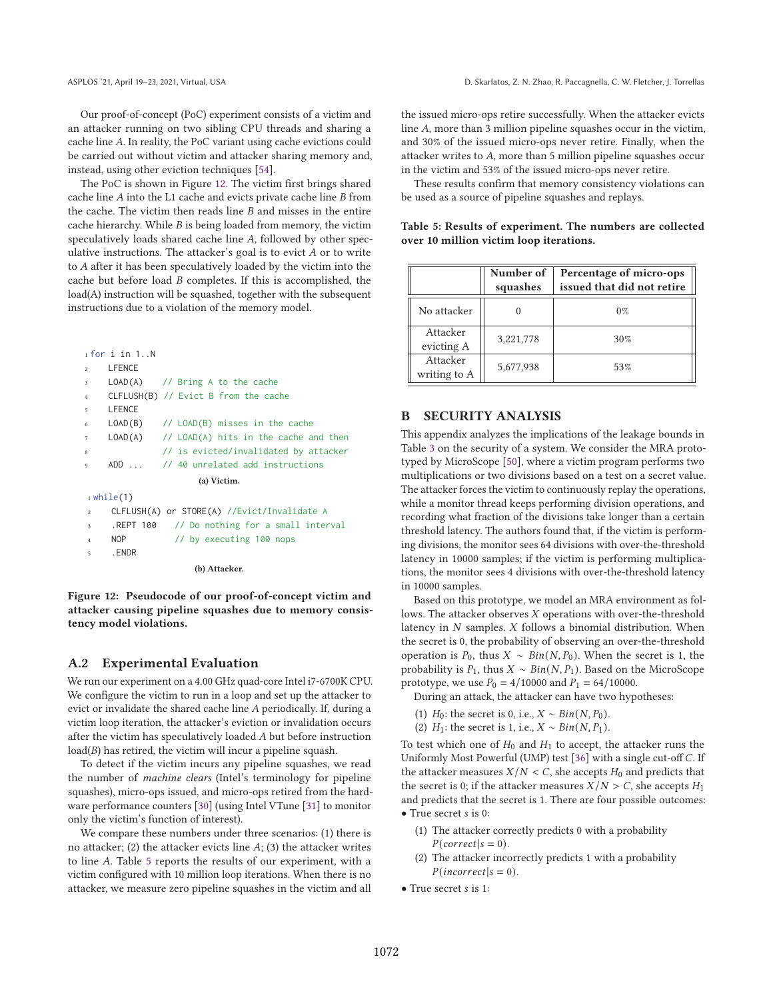Our proof-of-concept (PoC) experiment consists of a victim and an attacker running on two sibling CPU threads and sharing a cache line A. In reality, the PoC variant using cache evictions could be carried out without victim and attacker sharing memory and, instead, using other eviction techniques [54].

The PoC is shown in Figure 12. The victim first brings shared cache line  $A$  into the L1 cache and evicts private cache line  $B$  from the cache. The victim then reads line  $B$  and misses in the entire cache hierarchy. While  $B$  is being loaded from memory, the victim speculatively loads shared cache line A, followed by other speculative instructions. The attacker's goal is to evict  $A$  or to write to A after it has been speculatively loaded by the victim into the cache but before load  $B$  completes. If this is accomplished, the load(A) instruction will be squashed, together with the subsequent instructions due to a violation of the memory model.

|                | $1$ for $i$ in $1$ N                        |                                                   |  |  |  |  |
|----------------|---------------------------------------------|---------------------------------------------------|--|--|--|--|
| $\overline{2}$ | LFENCE                                      |                                                   |  |  |  |  |
| 3              |                                             | $LOAD(A)$ // Bring A to the cache                 |  |  |  |  |
| $\overline{4}$ |                                             | CLFLUSH(B) // Evict B from the cache              |  |  |  |  |
| 5              | LFENCE                                      |                                                   |  |  |  |  |
| 6              | LOAD(B)                                     | // LOAD(B) misses in the cache                    |  |  |  |  |
| $\tau$         |                                             | $LOAD(A)$ // $LOAD(A)$ hits in the cache and then |  |  |  |  |
| 8              |                                             | // is evicted/invalidated by attacker             |  |  |  |  |
| 9              | ADD                                         | // 40 unrelated add instructions                  |  |  |  |  |
| (a) Victim.    |                                             |                                                   |  |  |  |  |
| $_1$ while(1)  |                                             |                                                   |  |  |  |  |
| $\overline{c}$ | CLFLUSH(A) or STORE(A) //Evict/Invalidate A |                                                   |  |  |  |  |
| 3              |                                             | REPT 100 // Do nothing for a small interval       |  |  |  |  |

```
NOP // by executing 100 nops
```

```
5 .ENDR
```
(b) Attacker.

Figure 12: Pseudocode of our proof-of-concept victim and attacker causing pipeline squashes due to memory consistency model violations.

## A.2 Experimental Evaluation

We run our experiment on a 4.00 GHz quad-core Intel i7-6700K CPU. We configure the victim to run in a loop and set up the attacker to evict or invalidate the shared cache line A periodically. If, during a victim loop iteration, the attacker's eviction or invalidation occurs after the victim has speculatively loaded  $A$  but before instruction  $load(B)$  has retired, the victim will incur a pipeline squash.

To detect if the victim incurs any pipeline squashes, we read the number of machine clears (Intel's terminology for pipeline squashes), micro-ops issued, and micro-ops retired from the hardware performance counters [30] (using Intel VTune [31] to monitor only the victim's function of interest).

We compare these numbers under three scenarios: (1) there is no attacker; (2) the attacker evicts line  $A$ ; (3) the attacker writes to line A. Table 5 reports the results of our experiment, with a victim configured with 10 million loop iterations. When there is no attacker, we measure zero pipeline squashes in the victim and all the issued micro-ops retire successfully. When the attacker evicts line A, more than 3 million pipeline squashes occur in the victim, and 30% of the issued micro-ops never retire. Finally, when the attacker writes to  $A$ , more than 5 million pipeline squashes occur in the victim and 53% of the issued micro-ops never retire.

These results confirm that memory consistency violations can be used as a source of pipeline squashes and replays.

|  |  |                                         | Table 5: Results of experiment. The numbers are collected |  |
|--|--|-----------------------------------------|-----------------------------------------------------------|--|
|  |  | over 10 million victim loop iterations. |                                                           |  |

|                          | Number of<br>squashes | Percentage of micro-ops<br>issued that did not retire |
|--------------------------|-----------------------|-------------------------------------------------------|
| No attacker              |                       | $0\%$                                                 |
| Attacker<br>evicting A   | 3,221,778             | 30%                                                   |
| Attacker<br>writing to A | 5,677,938             | 53%                                                   |

# B SECURITY ANALYSIS

This appendix analyzes the implications of the leakage bounds in Table 3 on the security of a system. We consider the MRA prototyped by MicroScope [50], where a victim program performs two multiplications or two divisions based on a test on a secret value. The attacker forces the victim to continuously replay the operations, while a monitor thread keeps performing division operations, and recording what fraction of the divisions take longer than a certain threshold latency. The authors found that, if the victim is performing divisions, the monitor sees 64 divisions with over-the-threshold latency in 10000 samples; if the victim is performing multiplications, the monitor sees 4 divisions with over-the-threshold latency in 10000 samples.

Based on this prototype, we model an MRA environment as follows. The attacker observes  $X$  operations with over-the-threshold latency in  $N$  samples.  $X$  follows a binomial distribution. When the secret is 0, the probability of observing an over-the-threshold operation is  $P_0$ , thus  $X \sim Bin(N, P_0)$ . When the secret is 1, the probability is  $P_1$ , thus  $X \sim Bin(N, P_1)$ . Based on the MicroScope prototype, we use  $P_0 = 4/10000$  and  $P_1 = 64/10000$ .

During an attack, the attacker can have two hypotheses:

- (1)  $H_0$ : the secret is 0, i.e.,  $X \sim Bin(N, P_0)$ .
- (2)  $H_1$ : the secret is 1, i.e.,  $X \sim Bin(N, P_1)$ .

To test which one of  $H_0$  and  $H_1$  to accept, the attacker runs the Uniformly Most Powerful (UMP) test [36] with a single cut-off C. If the attacker measures  $X/N < C$ , she accepts  $H_0$  and predicts that the secret is 0; if the attacker measures  $X/N > C$ , she accepts  $H_1$ and predicts that the secret is 1. There are four possible outcomes:  $\bullet$  True secret s is 0:

- (1) The attacker correctly predicts 0 with a probability  $P(correct | s = 0).$
- (2) The attacker incorrectly predicts 1 with a probability  $P(incorrect|s = 0).$
- True secret *s* is 1: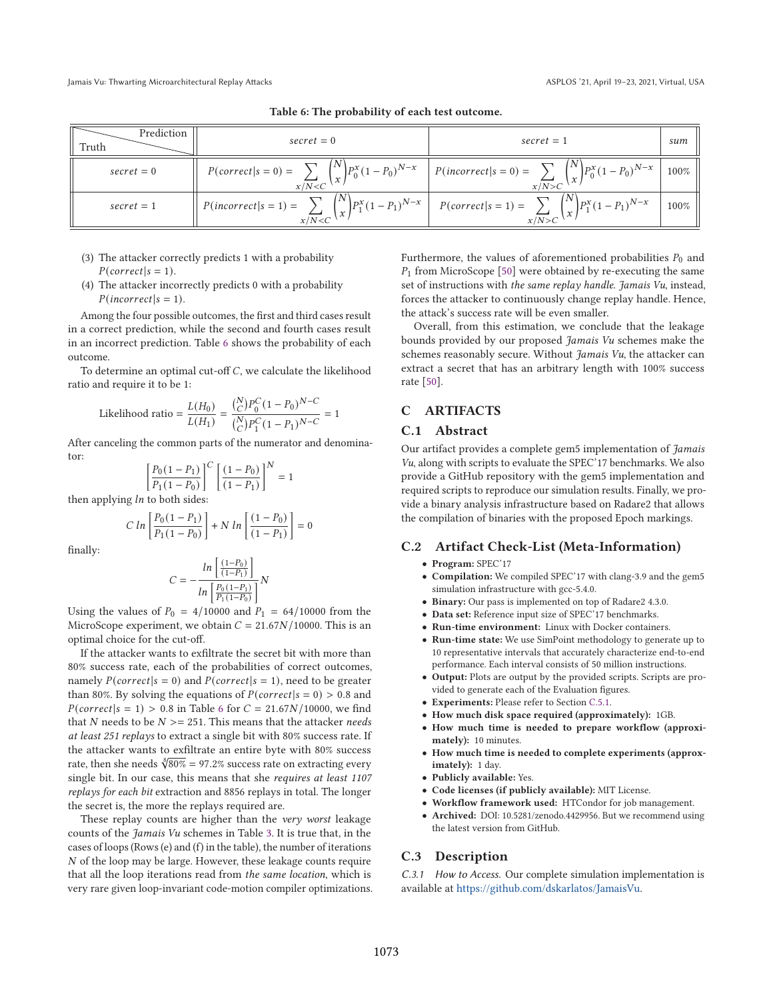| Prediction<br>Truth | $secret = 0$                                                                                                            | $secret = 1$                                                                                                                     | sum  |
|---------------------|-------------------------------------------------------------------------------------------------------------------------|----------------------------------------------------------------------------------------------------------------------------------|------|
| $secret = 0$        | $P(correct s=0) =$                                                                                                      | $\sum_{x/N < C} {N \choose x} P_0^x (1 - P_0)^{N-x} \quad p(incorrect s=0) = \sum_{x/N > C} {N \choose x} P_0^x (1 - P_0)^{N-x}$ | 100% |
| $secret = 1$        | $f(z=1) = \frac{1}{x/N < C} \binom{N}{x} P_1^x (1-P_1)^{N-x}$ $P(correct s=1) = \sum_{x \in C}$<br>$P(incorrect s=1) =$ | $\sum_{x/N>C}$ $\left(\frac{N}{x}\right) P_1^x (1-P_1)^{N-x}$                                                                    | 100% |

= 1

Table 6: The probability of each test outcome.

- (3) The attacker correctly predicts 1 with a probability  $P(correct | s = 1).$
- (4) The attacker incorrectly predicts 0 with a probability  $P(incorrect|s = 1).$

Among the four possible outcomes, the first and third cases result in a correct prediction, while the second and fourth cases result in an incorrect prediction. Table 6 shows the probability of each outcome.

To determine an optimal cut-off  $C$ , we calculate the likelihood ratio and require it to be 1:

Likelihood ratio = 
$$
\frac{L(H_0)}{L(H_1)} = \frac{\binom{N}{C} P_0^C (1 - P_0)^{N - C}}{\binom{N}{C} P_1^C (1 - P_1)^{N - C}} =
$$

After canceling the common parts of the numerator and denominator:

$$
\left[\frac{P_0(1-P_1)}{P_1(1-P_0)}\right]^C \left[\frac{(1-P_0)}{(1-P_1)}\right]^N = 1
$$

then applying  $ln$  to both sides:

$$
C \ln \left[ \frac{P_0(1 - P_1)}{P_1(1 - P_0)} \right] + N \ln \left[ \frac{(1 - P_0)}{(1 - P_1)} \right] = 0
$$

finally:

$$
C = -\frac{ln \left[ \frac{(1-P_0)}{(1-P_1)} \right]}{ln \left[ \frac{P_0 (1-P_1)}{P_1 (1-P_0)} \right]} N
$$

Using the values of  $P_0 = 4/10000$  and  $P_1 = 64/10000$  from the MicroScope experiment, we obtain  $C = 21.67N/10000$ . This is an optimal choice for the cut-off.

If the attacker wants to exfiltrate the secret bit with more than 80% success rate, each of the probabilities of correct outcomes, namely  $P(correct|s = 0)$  and  $P(correct|s = 1)$ , need to be greater than 80%. By solving the equations of  $P(correct|s = 0) > 0.8$  and  $P(correct|s = 1) > 0.8$  in Table 6 for  $C = 21.67N/10000$ , we find that N needs to be  $N \ge 251$ . This means that the attacker needs at least 251 replays to extract a single bit with 80% success rate. If the attacker wants to exfiltrate an entire byte with 80% success rate, then she needs  $\sqrt[8]{80\%}$  = 97.2% success rate on extracting every single bit. In our case, this means that she requires at least 1107 replays for each bit extraction and 8856 replays in total. The longer the secret is, the more the replays required are.

These replay counts are higher than the very worst leakage counts of the Jamais Vu schemes in Table 3. It is true that, in the cases of loops (Rows (e) and (f) in the table), the number of iterations  $N$  of the loop may be large. However, these leakage counts require that all the loop iterations read from the same location, which is very rare given loop-invariant code-motion compiler optimizations. Furthermore, the values of aforementioned probabilities  $P_0$  and  $P_1$  from MicroScope [50] were obtained by re-executing the same set of instructions with the same replay handle. Jamais Vu, instead, forces the attacker to continuously change replay handle. Hence, the attack's success rate will be even smaller.

Overall, from this estimation, we conclude that the leakage bounds provided by our proposed Jamais Vu schemes make the schemes reasonably secure. Without  $\hat{J}$ amais Vu, the attacker can extract a secret that has an arbitrary length with 100% success rate [50].

# C ARTIFACTS

## C.1 Abstract

Our artifact provides a complete gem5 implementation of Jamais Vu, along with scripts to evaluate the SPEC'17 benchmarks. We also provide a GitHub repository with the gem5 implementation and required scripts to reproduce our simulation results. Finally, we provide a binary analysis infrastructure based on Radare2 that allows the compilation of binaries with the proposed Epoch markings.

#### C.2 Artifact Check-List (Meta-Information)

- Program: SPEC'17
- Compilation: We compiled SPEC'17 with clang-3.9 and the gem5 simulation infrastructure with gcc-5.4.0.
- Binary: Our pass is implemented on top of Radare2 4.3.0.
- Data set: Reference input size of SPEC'17 benchmarks.
- Run-time environment: Linux with Docker containers.
- Run-time state: We use SimPoint methodology to generate up to 10 representative intervals that accurately characterize end-to-end performance. Each interval consists of 50 million instructions.
- Output: Plots are output by the provided scripts. Scripts are provided to generate each of the Evaluation figures.
- Experiments: Please refer to Section C.5.1.
- How much disk space required (approximately): 1GB.
- How much time is needed to prepare workflow (approximately): 10 minutes.
- How much time is needed to complete experiments (approximately): 1 day.
- Publicly available: Yes.
- Code licenses (if publicly available): MIT License.
- Workflow framework used: HTCondor for job management.
- Archived: DOI: 10.5281/zenodo.4429956. But we recommend using the latest version from GitHub.

#### C.3 Description

C.3.1 How to Access. Our complete simulation implementation is available at https://github.com/dskarlatos/JamaisVu.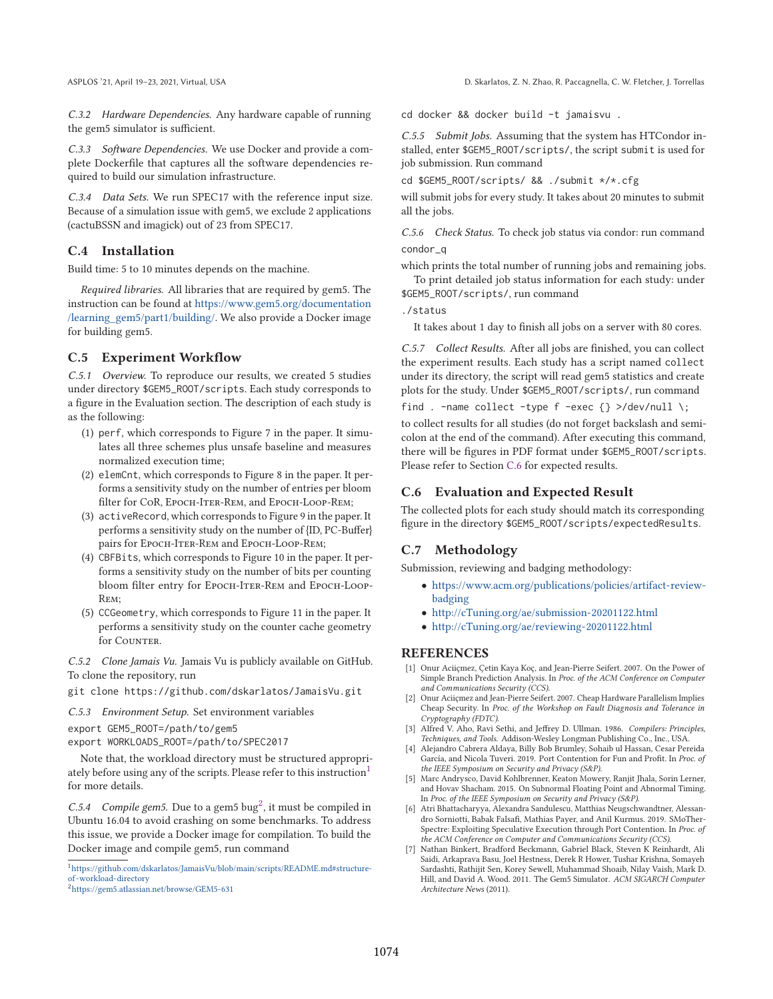C.3.2 Hardware Dependencies. Any hardware capable of running the gem5 simulator is sufficient.

C.3.3 Software Dependencies. We use Docker and provide a complete Dockerfile that captures all the software dependencies required to build our simulation infrastructure.

C.3.4 Data Sets. We run SPEC17 with the reference input size. Because of a simulation issue with gem5, we exclude 2 applications (cactuBSSN and imagick) out of 23 from SPEC17.

# C.4 Installation

Build time: 5 to 10 minutes depends on the machine.

Required libraries. All libraries that are required by gem5. The instruction can be found at https://www.gem5.org/documentation /learning\_gem5/part1/building/. We also provide a Docker image for building gem5.

## C.5 Experiment Workflow

C.5.1 Overview. To reproduce our results, we created 5 studies under directory \$GEM5\_ROOT/scripts. Each study corresponds to a figure in the Evaluation section. The description of each study is as the following:

- (1) perf, which corresponds to Figure 7 in the paper. It simulates all three schemes plus unsafe baseline and measures normalized execution time;
- (2) elemCnt, which corresponds to Figure 8 in the paper. It performs a sensitivity study on the number of entries per bloom filter for CoR, Epoch-Iter-Rem, and Epoch-Loop-Rem;
- (3) activeRecord, which corresponds to Figure 9 in the paper. It performs a sensitivity study on the number of {ID, PC-Buffer} pairs for Epoch-Iter-Rem and Epoch-Loop-Rem;
- (4) CBFBits, which corresponds to Figure 10 in the paper. It performs a sensitivity study on the number of bits per counting bloom filter entry for EPOCH-ITER-REM and EPOCH-LOOP-Rem;
- (5) CCGeometry, which corresponds to Figure 11 in the paper. It performs a sensitivity study on the counter cache geometry for COUNTER.

C.5.2 Clone Jamais Vu. Jamais Vu is publicly available on GitHub. To clone the repository, run

git clone https://github.com/dskarlatos/JamaisVu.git

C.5.3 Environment Setup. Set environment variables

export GEM5\_ROOT=/path/to/gem5

export WORKLOADS\_ROOT=/path/to/SPEC2017

Note that, the workload directory must be structured appropriately before using any of the scripts. Please refer to this instruction<sup>1</sup> for more details.

C.5.4 Compile gem5. Due to a gem5 bug<sup>2</sup>, it must be compiled in Ubuntu 16.04 to avoid crashing on some benchmarks. To address this issue, we provide a Docker image for compilation. To build the Docker image and compile gem5, run command

cd docker && docker build -t jamaisvu .

C.5.5 Submit Jobs. Assuming that the system has HTCondor installed, enter \$GEM5\_ROOT/scripts/, the script submit is used for job submission. Run command

cd \$GEM5\_ROOT/scripts/ && ./submit \*/\*.cfg

will submit jobs for every study. It takes about 20 minutes to submit all the jobs.

C.5.6 Check Status. To check job status via condor: run command condor\_q

which prints the total number of running jobs and remaining jobs.

To print detailed job status information for each study: under \$GEM5\_ROOT/scripts/, run command

./status

It takes about 1 day to finish all jobs on a server with 80 cores.

C.5.7 Collect Results. After all jobs are finished, you can collect the experiment results. Each study has a script named collect under its directory, the script will read gem5 statistics and create plots for the study. Under \$GEM5\_ROOT/scripts/, run command

find . -name collect -type f -exec  $\{\}$  >/dev/null \;

to collect results for all studies (do not forget backslash and semicolon at the end of the command). After executing this command, there will be figures in PDF format under \$GEM5\_ROOT/scripts. Please refer to Section C.6 for expected results.

## C.6 Evaluation and Expected Result

The collected plots for each study should match its corresponding figure in the directory \$GEM5\_ROOT/scripts/expectedResults.

#### C.7 Methodology

Submission, reviewing and badging methodology:

- https://www.acm.org/publications/policies/artifact-reviewbadging
- http://cTuning.org/ae/submission-20201122.html
- http://cTuning.org/ae/reviewing-20201122.html

## REFERENCES

- [1] Onur Aciiçmez, Çetin Kaya Koç, and Jean-Pierre Seifert. 2007. On the Power of Simple Branch Prediction Analysis. In Proc. of the ACM Conference on Computer and Communications Security (CCS).
- [2] Onur Aciiçmez and Jean-Pierre Seifert. 2007. Cheap Hardware Parallelism Implies Cheap Security. In Proc. of the Workshop on Fault Diagnosis and Tolerance in Cryptography (FDTC).
- [3] Alfred V. Aho, Ravi Sethi, and Jeffrey D. Ullman. 1986. Compilers: Principles, Techniques, and Tools. Addison-Wesley Longman Publishing Co., Inc., USA.
- [4] Alejandro Cabrera Aldaya, Billy Bob Brumley, Sohaib ul Hassan, Cesar Pereida García, and Nicola Tuveri. 2019. Port Contention for Fun and Profit. In Proc. of the IEEE Symposium on Security and Privacy (S&P).
- [5] Marc Andrysco, David Kohlbrenner, Keaton Mowery, Ranjit Jhala, Sorin Lerner, and Hovav Shacham. 2015. On Subnormal Floating Point and Abnormal Timing. In Proc. of the IEEE Symposium on Security and Privacy (S&P).
- [6] Atri Bhattacharyya, Alexandra Sandulescu, Matthias Neugschwandtner, Alessandro Sorniotti, Babak Falsafi, Mathias Payer, and Anil Kurmus. 2019. SMoTher-Spectre: Exploiting Speculative Execution through Port Contention. In Proc. of the ACM Conference on Computer and Communications Security (CCS).
- [7] Nathan Binkert, Bradford Beckmann, Gabriel Black, Steven K Reinhardt, Ali Saidi, Arkaprava Basu, Joel Hestness, Derek R Hower, Tushar Krishna, Somayeh Sardashti, Rathijit Sen, Korey Sewell, Muhammad Shoaib, Nilay Vaish, Mark D. Hill, and David A. Wood. 2011. The Gem5 Simulator. ACM SIGARCH Computer Architecture News (2011).

<sup>1</sup>https://github.com/dskarlatos/JamaisVu/blob/main/scripts/README.md#structureof -workload-directory

<sup>2</sup>https://gem5.atlassian.net/browse/GEM5-631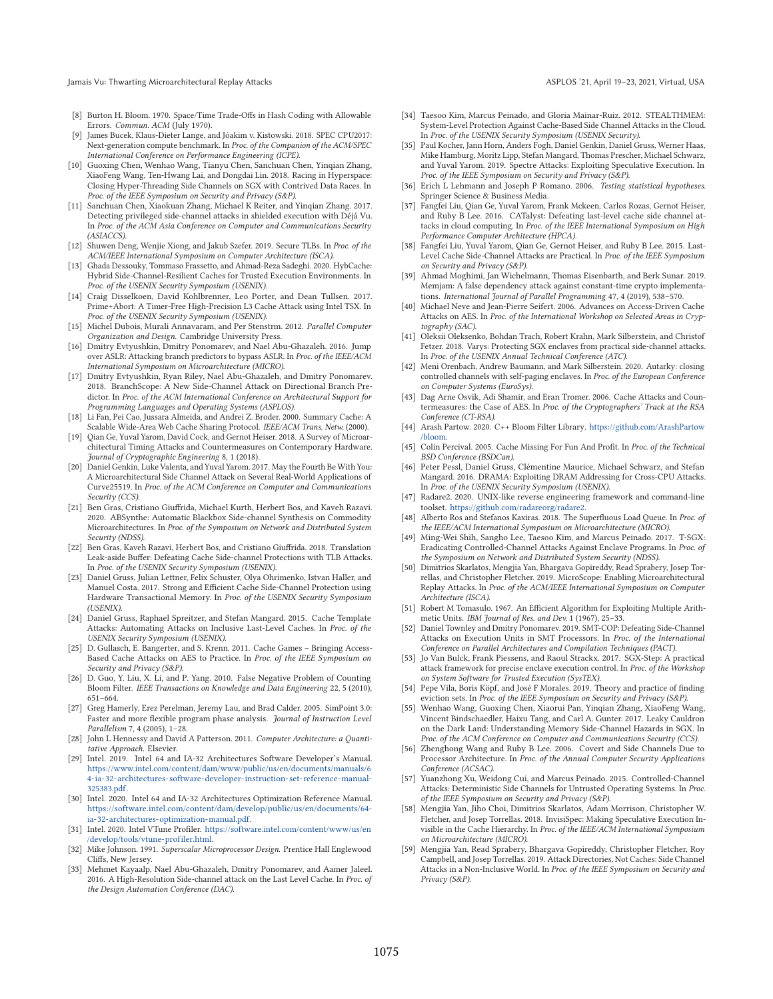Jamais Vu: Thwarting Microarchitectural Replay Attacks ASPLOS is a compared to the ASPLOS '21, April 19–23, 2021, Virtual, USA

- [8] Burton H. Bloom. 1970. Space/Time Trade-Offs in Hash Coding with Allowable Errors. Commun. ACM (July 1970).
- [9] James Bucek, Klaus-Dieter Lange, and Jóakim v. Kistowski. 2018. SPEC CPU2017: Next-generation compute benchmark. In Proc. of the Companion of the ACM/SPEC International Conference on Performance Engineering (ICPE).
- [10] Guoxing Chen, Wenhao Wang, Tianyu Chen, Sanchuan Chen, Yinqian Zhang, XiaoFeng Wang, Ten-Hwang Lai, and Dongdai Lin. 2018. Racing in Hyperspace: Closing Hyper-Threading Side Channels on SGX with Contrived Data Races. In Proc. of the IEEE Symposium on Security and Privacy (S&P).
- [11] Sanchuan Chen, Xiaokuan Zhang, Michael K Reiter, and Yinqian Zhang. 2017. Detecting privileged side-channel attacks in shielded execution with Déjá Vu. In Proc. of the ACM Asia Conference on Computer and Communications Security (ASIACCS).
- [12] Shuwen Deng, Wenjie Xiong, and Jakub Szefer. 2019. Secure TLBs. In Proc. of the ACM/IEEE International Symposium on Computer Architecture (ISCA).
- [13] Ghada Dessouky, Tommaso Frassetto, and Ahmad-Reza Sadeghi. 2020. HybCache: Hybrid Side-Channel-Resilient Caches for Trusted Execution Environments. In Proc. of the USENIX Security Symposium (USENIX).
- [14] Craig Disselkoen, David Kohlbrenner, Leo Porter, and Dean Tullsen. 2017. Prime+Abort: A Timer-Free High-Precision L3 Cache Attack using Intel TSX. In Proc. of the USENIX Security Symposium (USENIX).
- [15] Michel Dubois, Murali Annavaram, and Per Stenstrm. 2012. Parallel Computer Organization and Design. Cambridge University Press.
- [16] Dmitry Evtyushkin, Dmitry Ponomarev, and Nael Abu-Ghazaleh. 2016. Jump over ASLR: Attacking branch predictors to bypass ASLR. In Proc. of the IEEE/ACM International Symposium on Microarchitecture (MICRO).
- [17] Dmitry Evtyushkin, Ryan Riley, Nael Abu-Ghazaleh, and Dmitry Ponomarev. 2018. BranchScope: A New Side-Channel Attack on Directional Branch Predictor. In Proc. of the ACM International Conference on Architectural Support for Programming Languages and Operating Systems (ASPLOS).
- [18] Li Fan, Pei Cao, Jussara Almeida, and Andrei Z. Broder. 2000. Summary Cache: A Scalable Wide-Area Web Cache Sharing Protocol. IEEE/ACM Trans. Netw. (2000).
- [19] Qian Ge, Yuval Yarom, David Cock, and Gernot Heiser. 2018. A Survey of Microarchitectural Timing Attacks and Countermeasures on Contemporary Hardware. Journal of Cryptographic Engineering 8, 1 (2018).
- [20] Daniel Genkin, Luke Valenta, and Yuval Yarom. 2017. May the Fourth Be With You: A Microarchitectural Side Channel Attack on Several Real-World Applications of Curve25519. In Proc. of the ACM Conference on Computer and Communications Security (CCS).
- [21] Ben Gras, Cristiano Giuffrida, Michael Kurth, Herbert Bos, and Kaveh Razavi. 2020. ABSynthe: Automatic Blackbox Side-channel Synthesis on Commodity Microarchitectures. In Proc. of the Symposium on Network and Distributed System Security (NDSS).
- [22] Ben Gras, Kaveh Razavi, Herbert Bos, and Cristiano Giuffrida. 2018. Translation Leak-aside Buffer: Defeating Cache Side-channel Protections with TLB Attacks. In Proc. of the USENIX Security Symposium (USENIX).
- [23] Daniel Gruss, Julian Lettner, Felix Schuster, Olya Ohrimenko, Istvan Haller, and Manuel Costa. 2017. Strong and Efficient Cache Side-Channel Protection using Hardware Transactional Memory. In Proc. of the USENIX Security Symposium (USENIX).
- [24] Daniel Gruss, Raphael Spreitzer, and Stefan Mangard. 2015. Cache Template Attacks: Automating Attacks on Inclusive Last-Level Caches. In Proc. of the USENIX Security Symposium (USENIX).
- [25] D. Gullasch, E. Bangerter, and S. Krenn. 2011. Cache Games Bringing Access-Based Cache Attacks on AES to Practice. In Proc. of the IEEE Symposium on Security and Privacy (S&P).
- [26] D. Guo, Y. Liu, X. Li, and P. Yang. 2010. False Negative Problem of Counting Bloom Filter. IEEE Transactions on Knowledge and Data Engineering 22, 5 (2010), 651–664.
- [27] Greg Hamerly, Erez Perelman, Jeremy Lau, and Brad Calder. 2005. SimPoint 3.0: Faster and more flexible program phase analysis. Journal of Instruction Level Parallelism 7, 4 (2005), 1-28.
- [28] John L Hennessy and David A Patterson. 2011. Computer Architecture: a Quantitative Approach. Elsevier.
- [29] Intel. 2019. Intel 64 and IA-32 Architectures Software Developer's Manual. https://www.intel.com/content/dam/www/public/us/en/documents/manuals/6 4-ia-32-architectures-software-developer-instruction-set-reference-manual-325383.pdf.
- [30] Intel. 2020. Intel 64 and IA-32 Architectures Optimization Reference Manual. https://software.intel.com/content/dam/develop/public/us/en/documents/64 ia-32-architectures-optimization-manual.pdf.
- [31] Intel. 2020. Intel VTune Profiler. https://software.intel.com/content/www/us/en /develop/tools/vtune-profiler.html.
- [32] Mike Johnson. 1991. Superscalar Microprocessor Design. Prentice Hall Englewood Cliffs, New Jersey.
- [33] Mehmet Kayaalp, Nael Abu-Ghazaleh, Dmitry Ponomarev, and Aamer Jaleel. 2016. A High-Resolution Side-channel attack on the Last Level Cache. In Proc. of the Design Automation Conference (DAC).
- [34] Taesoo Kim, Marcus Peinado, and Gloria Mainar-Ruiz. 2012. STEALTHMEM: System-Level Protection Against Cache-Based Side Channel Attacks in the Cloud. In Proc. of the USENIX Security Symposium (USENIX Security).
- [35] Paul Kocher, Jann Horn, Anders Fogh, Daniel Genkin, Daniel Gruss, Werner Haas, Mike Hamburg, Moritz Lipp, Stefan Mangard, Thomas Prescher, Michael Schwarz, and Yuval Yarom. 2019. Spectre Attacks: Exploiting Speculative Execution. In Proc. of the IEEE Symposium on Security and Privacy (S&P).
- [36] Erich L Lehmann and Joseph P Romano. 2006. Testing statistical hypotheses. Springer Science & Business Media.
- [37] Fangfei Liu, Qian Ge, Yuval Yarom, Frank Mckeen, Carlos Rozas, Gernot Heiser, and Ruby B Lee. 2016. CATalyst: Defeating last-level cache side channel attacks in cloud computing. In Proc. of the IEEE International Symposium on High Performance Computer Architecture (HPCA).
- [38] Fangfei Liu, Yuval Yarom, Qian Ge, Gernot Heiser, and Ruby B Lee. 2015. Last-Level Cache Side-Channel Attacks are Practical. In Proc. of the IEEE Symposium on Security and Privacy (S&P).
- [39] Ahmad Moghimi, Jan Wichelmann, Thomas Eisenbarth, and Berk Sunar. 2019. Memjam: A false dependency attack against constant-time crypto implementations. International Journal of Parallel Programming 47, 4 (2019), 538-570.
- [40] Michael Neve and Jean-Pierre Seifert. 2006. Advances on Access-Driven Cache Attacks on AES. In Proc. of the International Workshop on Selected Areas in Cryptography (SAC).
- [41] Oleksii Oleksenko, Bohdan Trach, Robert Krahn, Mark Silberstein, and Christof Fetzer. 2018. Varys: Protecting SGX enclaves from practical side-channel attacks. In Proc. of the USENIX Annual Technical Conference (ATC).
- [42] Meni Orenbach, Andrew Baumann, and Mark Silberstein. 2020. Autarky: closing controlled channels with self-paging enclaves. In Proc. of the European Conference on Computer Systems (EuroSys).
- [43] Dag Arne Osvik, Adi Shamir, and Eran Tromer. 2006. Cache Attacks and Countermeasures: the Case of AES. In Proc. of the Cryptographers' Track at the RSA Conference (CT-RSA).
- [44] Arash Partow. 2020. C++ Bloom Filter Library. https://github.com/ArashPartow /bloom.
- [45] Colin Percival. 2005. Cache Missing For Fun And Profit. In Proc. of the Technical BSD Conference (BSDCan).
- [46] Peter Pessl, Daniel Gruss, Clémentine Maurice, Michael Schwarz, and Stefan Mangard. 2016. DRAMA: Exploiting DRAM Addressing for Cross-CPU Attacks. In Proc. of the USENIX Security Symposium (USENIX).
- [47] Radare2. 2020. UNIX-like reverse engineering framework and command-line toolset. https://github.com/radareorg/radare2.
- [48] Alberto Ros and Stefanos Kaxiras. 2018. The Superfluous Load Queue. In Proc. of the IEEE/ACM International Symposium on Microarchitecture (MICRO).
- [49] Ming-Wei Shih, Sangho Lee, Taesoo Kim, and Marcus Peinado. 2017. T-SGX: Eradicating Controlled-Channel Attacks Against Enclave Programs. In Proc. of the Symposium on Network and Distributed System Security (NDSS).
- [50] Dimitrios Skarlatos, Mengjia Yan, Bhargava Gopireddy, Read Sprabery, Josep Torrellas, and Christopher Fletcher. 2019. MicroScope: Enabling Microarchitectural Replay Attacks. In Proc. of the ACM/IEEE International Symposium on Computer Architecture (ISCA).
- [51] Robert M Tomasulo. 1967. An Efficient Algorithm for Exploiting Multiple Arithmetic Units. IBM Journal of Res. and Dev. 1 (1967), 25–33.
- [52] Daniel Townley and Dmitry Ponomarev. 2019. SMT-COP: Defeating Side-Channel Attacks on Execution Units in SMT Processors. In Proc. of the International Conference on Parallel Architectures and Compilation Techniques (PACT).
- [53] Jo Van Bulck, Frank Piessens, and Raoul Strackx. 2017. SGX-Step: A practical attack framework for precise enclave execution control. In Proc. of the Workshop on System Software for Trusted Execution (SysTEX).
- [54] Pepe Vila, Boris Köpf, and José F Morales. 2019. Theory and practice of finding eviction sets. In Proc. of the IEEE Symposium on Security and Privacy (S&P).
- [55] Wenhao Wang, Guoxing Chen, Xiaorui Pan, Yinqian Zhang, XiaoFeng Wang, Vincent Bindschaedler, Haixu Tang, and Carl A. Gunter. 2017. Leaky Cauldron on the Dark Land: Understanding Memory Side-Channel Hazards in SGX. In Proc. of the ACM Conference on Computer and Communications Security (CCS).
- [56] Zhenghong Wang and Ruby B Lee. 2006. Covert and Side Channels Due to Processor Architecture. In Proc. of the Annual Computer Security Applications Conference (ACSAC).
- [57] Yuanzhong Xu, Weidong Cui, and Marcus Peinado. 2015. Controlled-Channel Attacks: Deterministic Side Channels for Untrusted Operating Systems. In Proc. of the IEEE Symposium on Security and Privacy (S&P).
- [58] Mengjia Yan, Jiho Choi, Dimitrios Skarlatos, Adam Morrison, Christopher W. Fletcher, and Josep Torrellas. 2018. InvisiSpec: Making Speculative Execution Invisible in the Cache Hierarchy. In Proc. of the IEEE/ACM International Symposium on Microarchitecture (MICRO).
- [59] Mengjia Yan, Read Sprabery, Bhargava Gopireddy, Christopher Fletcher, Roy Campbell, and Josep Torrellas. 2019. Attack Directories, Not Caches: Side Channel Attacks in a Non-Inclusive World. In Proc. of the IEEE Symposium on Security and Privacy (S&P).